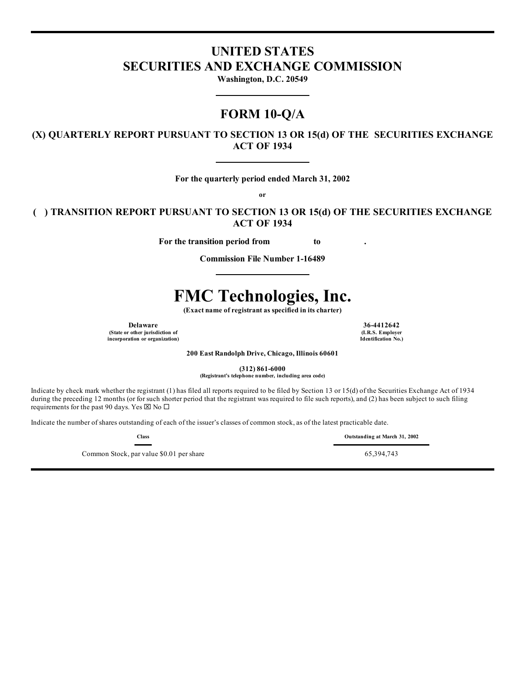# **UNITED STATES SECURITIES AND EXCHANGE COMMISSION**

**Washington, D.C. 20549**

# **FORM 10-Q/A**

**(X) QUARTERLY REPORT PURSUANT TO SECTION 13 OR 15(d) OF THE SECURITIES EXCHANGE ACT OF 1934**

**For the quarterly period ended March 31, 2002**

**or**

**( ) TRANSITION REPORT PURSUANT TO SECTION 13 OR 15(d) OF THE SECURITIES EXCHANGE ACT OF 1934**

**For the transition period from to .**

**Commission File Number 1-16489**

# **FMC Technologies, Inc.**

**(Exact name of registrant as specified in its charter)**

**Delaware 36-4412642**<br> **36-4412642**<br> **1.R.S. Employer (State or other jurisdiction of (I.R.S. Employer incorporation or organization) Identification No.)**

**200 East Randolph Drive, Chicago, Illinois 60601**

**(312) 861-6000**

**(Registrant's telephone number, including area code)**

Indicate by check mark whether the registrant (1) has filed all reports required to be filed by Section 13 or 15(d) of the Securities Exchange Act of 1934 during the preceding 12 months (or for such shorter period that the registrant was required to file such reports), and (2) has been subject to such filing requirements for the past 90 days. Yes  $\boxtimes$  No  $\square$ 

Indicate the number of shares outstanding of each of the issuer's classes of common stock, as of the latest practicable date.

Common Stock, par value \$0.01 per share 65,394,743

**Class Outstanding at March 31, 2002**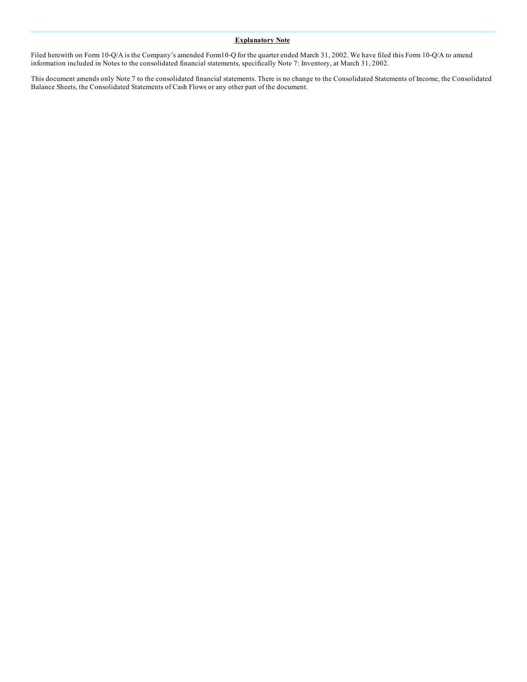#### **Explanatory Note**

Filed herewith on Form 10-Q/A is the Company's amended Form10-Q for the quarter ended March 31, 2002. We have filed this Form 10-Q/A to amend information included in Notes to the consolidated financial statements, specifically Note 7: Inventory, at March 31, 2002.

This document amends only Note 7 to the consolidated financial statements. There is no change to the Consolidated Statements of Income, the Consolidated Balance Sheets, the Consolidated Statements of Cash Flows or any other part of the document.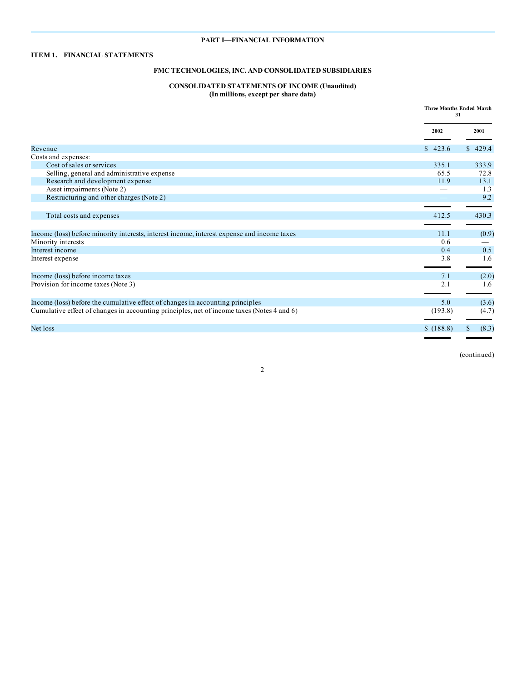# **PART I—FINANCIAL INFORMATION**

# **ITEM 1. FINANCIAL STATEMENTS**

# **FMC TECHNOLOGIES, INC. AND CONSOLIDATED SUBSIDIARIES**

# **CONSOLIDATED STATEMENTS OF INCOME (Unaudited) (In millions, except per share data)**

|                                                                                             |           | <b>Three Months Ended March</b><br>31 |
|---------------------------------------------------------------------------------------------|-----------|---------------------------------------|
|                                                                                             | 2002      | 2001                                  |
| Revenue                                                                                     | \$423.6   | \$429.4                               |
| Costs and expenses:                                                                         |           |                                       |
| Cost of sales or services                                                                   | 335.1     | 333.9                                 |
| Selling, general and administrative expense                                                 | 65.5      | 72.8                                  |
| Research and development expense                                                            | 11.9      | 13.1                                  |
| Asset impairments (Note 2)                                                                  |           | 1.3                                   |
| Restructuring and other charges (Note 2)                                                    |           | 9.2                                   |
|                                                                                             |           |                                       |
| Total costs and expenses                                                                    | 412.5     | 430.3                                 |
|                                                                                             |           |                                       |
| Income (loss) before minority interests, interest income, interest expense and income taxes | 11.1      | (0.9)                                 |
| Minority interests                                                                          | 0.6       |                                       |
| Interest income                                                                             | 0.4       | 0.5                                   |
| Interest expense                                                                            | 3.8       | 1.6                                   |
|                                                                                             |           |                                       |
| Income (loss) before income taxes                                                           | 7.1       | (2.0)                                 |
| Provision for income taxes (Note 3)                                                         | 2.1       | 1.6                                   |
|                                                                                             |           |                                       |
| Income (loss) before the cumulative effect of changes in accounting principles              | 5.0       | (3.6)                                 |
| Cumulative effect of changes in accounting principles, net of income taxes (Notes 4 and 6)  | (193.8)   | (4.7)                                 |
|                                                                                             |           |                                       |
| Net loss                                                                                    | \$(188.8) | (8.3)<br>\$                           |
|                                                                                             |           |                                       |

(continued)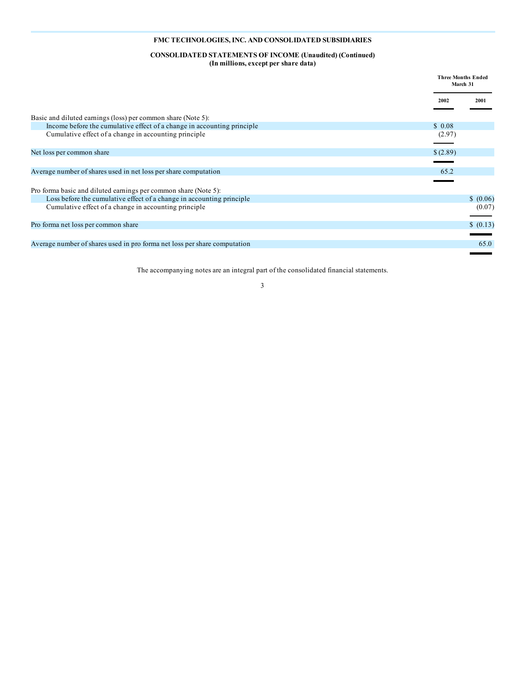#### **CONSOLIDATED STATEMENTS OF INCOME (Unaudited) (Continued) (In millions, except per share data)**

|                                                                           | <b>Three Months Ended</b><br>March 31 |
|---------------------------------------------------------------------------|---------------------------------------|
|                                                                           | 2002<br>2001                          |
| Basic and diluted earnings (loss) per common share (Note 5):              |                                       |
| Income before the cumulative effect of a change in accounting principle   | \$0.08                                |
| Cumulative effect of a change in accounting principle                     | (2.97)                                |
|                                                                           |                                       |
| Net loss per common share                                                 | \$(2.89)                              |
|                                                                           |                                       |
| Average number of shares used in net loss per share computation           | 65.2                                  |
|                                                                           |                                       |
| Pro forma basic and diluted earnings per common share (Note 5):           |                                       |
| Loss before the cumulative effect of a change in accounting principle     | \$ (0.06)                             |
| Cumulative effect of a change in accounting principle                     | (0.07)                                |
|                                                                           |                                       |
| Pro forma net loss per common share                                       | \$ (0.13)                             |
|                                                                           |                                       |
| Average number of shares used in pro forma net loss per share computation | 65.0                                  |
|                                                                           |                                       |

The accompanying notes are an integral part of the consolidated financial statements.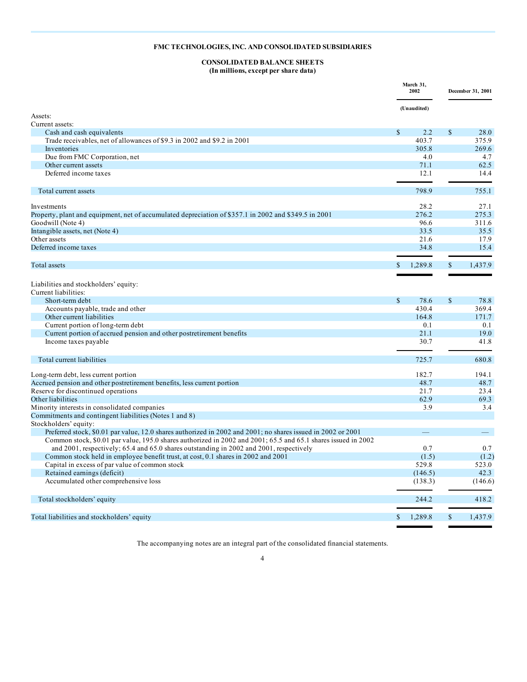# **CONSOLIDATED BALANCE SHEETS (In millions, except per share data)**

|                                                                                                               |               | March 31,<br>2002 |              | December 31, 2001 |
|---------------------------------------------------------------------------------------------------------------|---------------|-------------------|--------------|-------------------|
| Assets:                                                                                                       |               | (Unaudited)       |              |                   |
| Current assets:                                                                                               |               |                   |              |                   |
| Cash and cash equivalents                                                                                     | $\mathbf S$   | 2.2               | $\mathbf S$  | 28.0              |
| Trade receivables, net of allowances of \$9.3 in 2002 and \$9.2 in 2001                                       |               | 403.7             |              | 375.9             |
| Inventories                                                                                                   |               | 305.8             |              | 269.6             |
| Due from FMC Corporation, net                                                                                 |               | 4.0               |              | 4.7               |
| Other current assets                                                                                          |               | 71.1              |              | 62.5              |
| Deferred income taxes                                                                                         |               | 12.1              |              | 14.4              |
| Total current assets                                                                                          |               | 798.9             |              | 755.1             |
| Investments                                                                                                   |               | 28.2              |              | 27.1              |
| Property, plant and equipment, net of accumulated depreciation of \$357.1 in 2002 and \$349.5 in 2001         |               | 276.2             |              | 275.3             |
| Goodwill (Note 4)                                                                                             |               | 96.6              |              | 311.6             |
| Intangible assets, net (Note 4)                                                                               |               | 33.5              |              | 35.5              |
| Other assets                                                                                                  |               | 21.6              |              | 17.9              |
| Deferred income taxes                                                                                         |               | 34.8              |              | 15.4              |
|                                                                                                               |               |                   |              |                   |
| Total assets                                                                                                  | \$            | 1,289.8           | $\mathbf S$  | 1,437.9           |
| Liabilities and stockholders' equity:<br>Current liabilities:                                                 |               |                   |              |                   |
| Short-term debt                                                                                               | $\mathcal{S}$ | 78.6              | $\mathbb{S}$ | 78.8              |
| Accounts payable, trade and other                                                                             |               | 430.4             |              | 369.4             |
| Other current liabilities                                                                                     |               | 164.8             |              | 171.7             |
| Current portion of long-term debt                                                                             |               | 0.1               |              | 0.1               |
| Current portion of accrued pension and other postretirement benefits                                          |               | 21.1              |              | 19.0              |
| Income taxes payable                                                                                          |               | 30.7              |              | 41.8              |
| Total current liabilities                                                                                     |               | 725.7             |              | 680.8             |
| Long-term debt, less current portion                                                                          |               | 182.7             |              | 194.1             |
| Accrued pension and other postretirement benefits, less current portion                                       |               | 48.7              |              | 48.7              |
| Reserve for discontinued operations                                                                           |               | 21.7              |              | 23.4              |
| Other liabilities                                                                                             |               | 62.9              |              | 69.3              |
| Minority interests in consolidated companies                                                                  |               | 3.9               |              | 3.4               |
| Commitments and contingent liabilities (Notes 1 and 8)<br>Stockholders' equity:                               |               |                   |              |                   |
| Preferred stock, \$0.01 par value, 12.0 shares authorized in 2002 and 2001; no shares issued in 2002 or 2001  |               |                   |              |                   |
| Common stock, \$0.01 par value, 195.0 shares authorized in 2002 and 2001; 65.5 and 65.1 shares issued in 2002 |               |                   |              |                   |
| and 2001, respectively; 65.4 and 65.0 shares outstanding in 2002 and 2001, respectively                       |               | 0.7               |              | 0.7               |
| Common stock held in employee benefit trust, at cost, 0.1 shares in 2002 and 2001                             |               | (1.5)             |              | (1.2)             |
| Capital in excess of par value of common stock                                                                |               | 529.8             |              | 523.0             |
| Retained earnings (deficit)                                                                                   |               | (146.5)           |              | 42.3              |
| Accumulated other comprehensive loss                                                                          |               | (138.3)           |              | (146.6)           |
| Total stockholders' equity                                                                                    |               | 244.2             |              | 418.2             |
|                                                                                                               |               |                   |              |                   |
| Total liabilities and stockholders' equity                                                                    | $\mathbb{S}$  | 1,289.8           | $\mathbb{S}$ | 1,437.9           |

The accompanying notes are an integral part of the consolidated financial statements.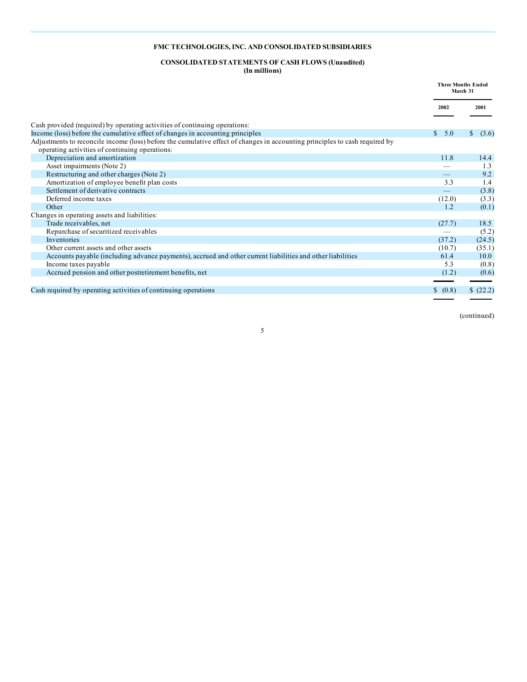# **CONSOLIDATED STATEMENTS OF CASH FLOWS (Unaudited)**

**(In millions)**

|                                                                                                                             | <b>Three Months Ended</b><br>March 31 |                       |
|-----------------------------------------------------------------------------------------------------------------------------|---------------------------------------|-----------------------|
|                                                                                                                             | 2002                                  | 2001                  |
| Cash provided (required) by operating activities of continuing operations:                                                  |                                       |                       |
| Income (loss) before the cumulative effect of changes in accounting principles                                              | $\mathbb{S}^-$<br>5.0                 | <sup>S</sup><br>(3.6) |
| Adjustments to reconcile income (loss) before the cumulative effect of changes in accounting principles to cash required by |                                       |                       |
| operating activities of continuing operations:                                                                              |                                       |                       |
| Depreciation and amortization                                                                                               | 11.8                                  | 14.4                  |
| Asset impairments (Note 2)                                                                                                  |                                       | 1.3                   |
| Restructuring and other charges (Note 2)                                                                                    |                                       | 9.2                   |
| Amortization of employee benefit plan costs                                                                                 | 3.3                                   | 1.4                   |
| Settlement of derivative contracts                                                                                          |                                       | (3.8)                 |
| Deferred income taxes                                                                                                       | (12.0)                                | (3.3)                 |
| Other                                                                                                                       | 1.2                                   | (0.1)                 |
| Changes in operating assets and liabilities:                                                                                |                                       |                       |
| Trade receivables, net                                                                                                      | (27.7)                                | 18.5                  |
| Repurchase of securitized receivables                                                                                       |                                       | (5.2)                 |
| Inventories                                                                                                                 | (37.2)                                | (24.5)                |
| Other current assets and other assets                                                                                       | (10.7)                                | (35.1)                |
| Accounts payable (including advance payments), accrued and other current liabilities and other liabilities                  | 61.4                                  | 10.0                  |
| Income taxes payable                                                                                                        | 5.3                                   | (0.8)                 |
| Accrued pension and other postretirement benefits, net                                                                      | (1.2)                                 | (0.6)                 |
|                                                                                                                             |                                       |                       |
| Cash required by operating activities of continuing operations                                                              | (0.8)<br><sup>\$</sup>                | \$ (22.2)             |

5

(continued)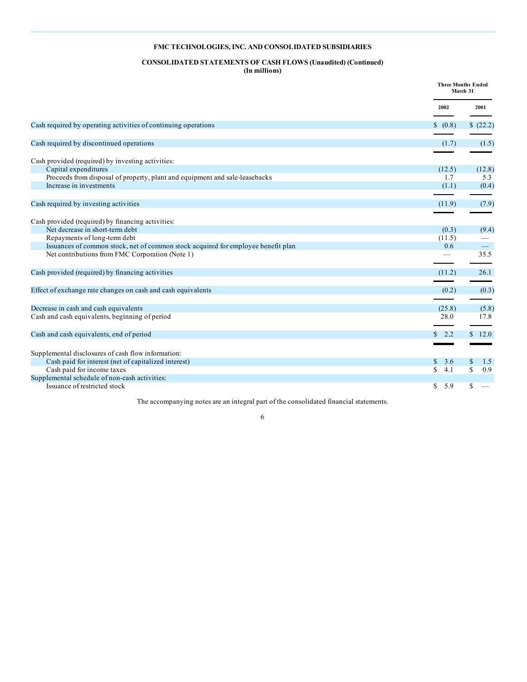# **CONSOLIDATED STATEMENTS OF CASH FLOWS (Unaudited) (Continued) (In millions)**

|                                                                                   |            | <b>Three Months Ended</b><br>March 31 |
|-----------------------------------------------------------------------------------|------------|---------------------------------------|
|                                                                                   | 2002       | 2001                                  |
| Cash required by operating activities of continuing operations                    | \$ (0.8)   | \$(22.2)                              |
| Cash required by discontinued operations                                          | (1.7)      | (1.5)                                 |
| Cash provided (required) by investing activities:                                 |            |                                       |
| Capital expenditures                                                              | (12.5)     | (12.8)                                |
| Proceeds from disposal of property, plant and equipment and sale-leasebacks       | 1.7        | 5.3                                   |
| Increase in investments                                                           | (1.1)      | (0.4)                                 |
| Cash required by investing activities                                             | (11.9)     | (7.9)                                 |
| Cash provided (required) by financing activities:                                 |            |                                       |
| Net decrease in short-term debt                                                   | (0.3)      | (9.4)                                 |
| Repayments of long-term debt                                                      | (11.5)     |                                       |
| Issuances of common stock, net of common stock acquired for employee benefit plan | 0.6        |                                       |
| Net contributions from FMC Corporation (Note 1)                                   |            | 35.5                                  |
| Cash provided (required) by financing activities                                  | (11.2)     | 26.1                                  |
| Effect of exchange rate changes on cash and cash equivalents                      | (0.2)      | (0.3)                                 |
|                                                                                   |            |                                       |
| Decrease in cash and cash equivalents                                             | (25.8)     | (5.8)                                 |
| Cash and cash equivalents, beginning of period                                    | 28.0       | 17.8                                  |
| Cash and cash equivalents, end of period                                          | 2.2<br>S.  | \$12.0                                |
| Supplemental disclosures of cash flow information:                                |            |                                       |
| Cash paid for interest (net of capitalized interest)                              | 3.6<br>S.  | \$<br>1.5                             |
| Cash paid for income taxes                                                        | 4.1<br>\$. | 0.9<br>\$.                            |
| Supplemental schedule of non-cash activities:                                     |            |                                       |
| Issuance of restricted stock                                                      | \$.<br>5.9 | \$.                                   |

The accompanying notes are an integral part of the consolidated financial statements.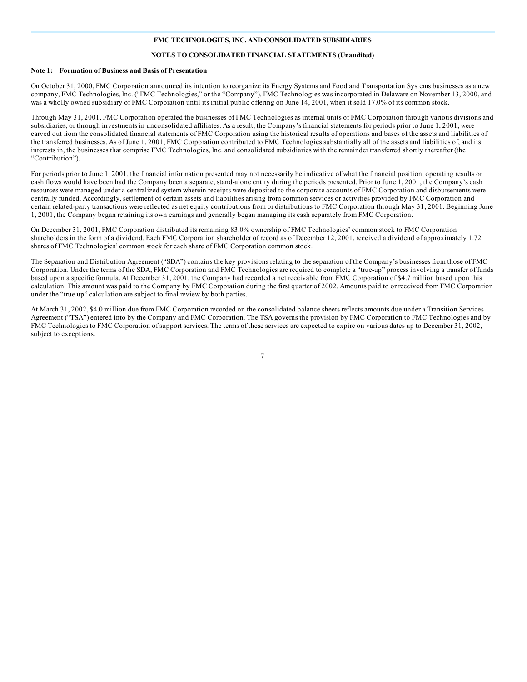#### **NOTES TO CONSOLIDATED FINANCIAL STATEMENTS (Unaudited)**

#### **Note 1: Formation of Business and Basis of Presentation**

On October 31, 2000, FMC Corporation announced its intention to reorganize its Energy Systems and Food and Transportation Systems businesses as a new company, FMC Technologies, Inc. ("FMC Technologies," or the "Company"). FMC Technologies was incorporated in Delaware on November 13, 2000, and was a wholly owned subsidiary of FMC Corporation until its initial public offering on June 14, 2001, when it sold 17.0% of its common stock.

Through May 31, 2001, FMC Corporation operated the businesses of FMC Technologies as internal units of FMC Corporation through various divisions and subsidiaries, or through investments in unconsolidated affiliates. As a result, the Company's financial statements for periods prior to June 1, 2001, were carved out from the consolidated financial statements of FMC Corporation using the historical results of operations and bases of the assets and liabilities of the transferred businesses. As of June 1, 2001, FMC Corporation contributed to FMC Technologies substantially all of the assets and liabilities of, and its interests in, the businesses that comprise FMC Technologies, Inc. and consolidated subsidiaries with the remainder transferred shortly thereafter (the "Contribution").

For periods prior to June 1, 2001, the financial information presented may not necessarily be indicative of what the financial position, operating results or cash flows would have been had the Company been a separate, stand-alone entity during the periods presented. Prior to June 1, 2001, the Company's cash resources were managed under a centralized system wherein receipts were deposited to the corporate accounts of FMC Corporation and disbursements were centrally funded. Accordingly, settlement of certain assets and liabilities arising from common services or activities provided by FMC Corporation and certain related-party transactions were reflected as net equity contributions from or distributions to FMC Corporation through May 31, 2001. Beginning June 1, 2001, the Company began retaining its own earnings and generally began managing its cash separately from FMC Corporation.

On December 31, 2001, FMC Corporation distributed its remaining 83.0% ownership of FMC Technologies' common stock to FMC Corporation shareholders in the form of a dividend. Each FMC Corporation shareholder of record as of December 12, 2001, received a dividend of approximately 1.72 shares of FMC Technologies' common stock for each share of FMC Corporation common stock.

The Separation and Distribution Agreement ("SDA") contains the key provisions relating to the separation of the Company's businesses from those of FMC Corporation. Under the terms of the SDA, FMC Corporation and FMC Technologies are required to complete a "true-up" process involving a transfer of funds based upon a specific formula. At December 31, 2001, the Company had recorded a net receivable from FMC Corporation of \$4.7 million based upon this calculation. This amount was paid to the Company by FMC Corporation during the first quarter of 2002. Amounts paid to or received from FMC Corporation under the "true up" calculation are subject to final review by both parties.

At March 31, 2002, \$4.0 million due from FMC Corporation recorded on the consolidated balance sheets reflects amounts due under a Transition Services Agreement ("TSA") entered into by the Company and FMC Corporation. The TSA governs the provision by FMC Corporation to FMC Technologies and by FMC Technologies to FMC Corporation of support services. The terms of these services are expected to expire on various dates up to December 31, 2002, subject to exceptions.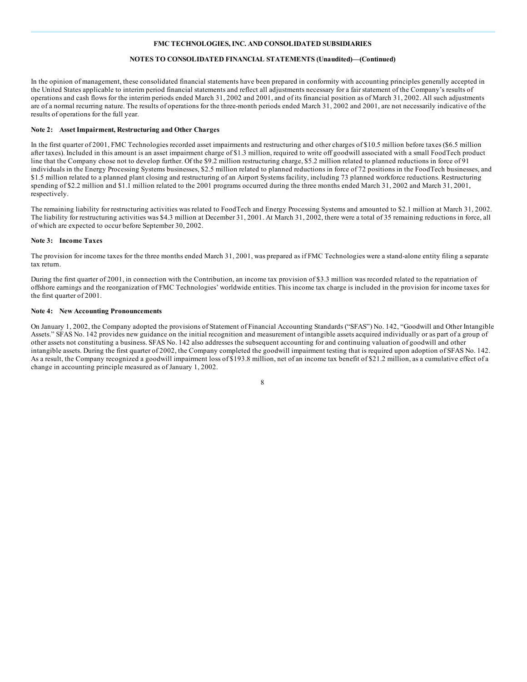#### **NOTES TO CONSOLIDATED FINANCIAL STATEMENTS (Unaudited)—(Continued)**

In the opinion of management, these consolidated financial statements have been prepared in conformity with accounting principles generally accepted in the United States applicable to interim period financial statements and reflect all adjustments necessary for a fair statement of the Company's results of operations and cash flows for the interim periods ended March 31, 2002 and 2001, and of its financial position as of March 31, 2002. All such adjustments are of a normal recurring nature. The results of operations for the three-month periods ended March 31, 2002 and 2001, are not necessarily indicative of the results of operations for the full year.

#### **Note 2: Asset Impairment, Restructuring and Other Charges**

In the first quarter of 2001, FMC Technologies recorded asset impairments and restructuring and other charges of \$10.5 million before taxes (\$6.5 million after taxes). Included in this amount is an asset impairment charge of \$1.3 million, required to write off goodwill associated with a small FoodTech product line that the Company chose not to develop further. Of the \$9.2 million restructuring charge, \$5.2 million related to planned reductions in force of 91 individuals in the Energy Processing Systems businesses, \$2.5 million related to planned reductions in force of 72 positions in the FoodTech businesses, and \$1.5 million related to a planned plant closing and restructuring of an Airport Systems facility, including 73 planned workforce reductions. Restructuring spending of \$2.2 million and \$1.1 million related to the 2001 programs occurred during the three months ended March 31, 2002 and March 31, 2001, respectively.

The remaining liability for restructuring activities was related to FoodTech and Energy Processing Systems and amounted to \$2.1 million at March 31, 2002. The liability for restructuring activities was \$4.3 million at December 31, 2001. At March 31, 2002, there were a total of 35 remaining reductions in force, all of which are expected to occur before September 30, 2002.

#### **Note 3: Income Taxes**

The provision for income taxes for the three months ended March 31, 2001, was prepared as if FMC Technologies were a stand-alone entity filing a separate tax return.

During the first quarter of 2001, in connection with the Contribution, an income tax provision of \$3.3 million was recorded related to the repatriation of offshore earnings and the reorganization of FMC Technologies' worldwide entities. This income tax charge is included in the provision for income taxes for the first quarter of 2001.

#### **Note 4: New Accounting Pronouncements**

On January 1, 2002, the Company adopted the provisions of Statement of Financial Accounting Standards ("SFAS") No. 142, "Goodwill and Other Intangible Assets." SFAS No. 142 provides new guidance on the initial recognition and measurement of intangible assets acquired individually or as part of a group of other assets not constituting a business. SFAS No. 142 also addresses the subsequent accounting for and continuing valuation of goodwill and other intangible assets. During the first quarter of 2002, the Company completed the goodwill impairment testing that is required upon adoption of SFAS No. 142. As a result, the Company recognized a goodwill impairment loss of \$193.8 million, net of an income tax benefit of \$21.2 million, as a cumulative effect of a change in accounting principle measured as of January 1, 2002.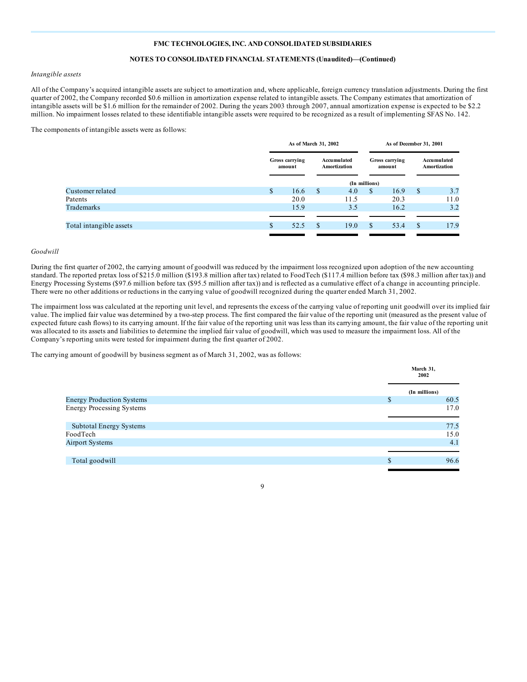#### **NOTES TO CONSOLIDATED FINANCIAL STATEMENTS (Unaudited)—(Continued)**

#### *Intangible assets*

All of the Company's acquired intangible assets are subject to amortization and, where applicable, foreign currency translation adjustments. During the first quarter of 2002, the Company recorded \$0.6 million in amortization expense related to intangible assets. The Company estimates that amortization of intangible assets will be \$1.6 million for the remainder of 2002. During the years 2003 through 2007, annual amortization expense is expected to be \$2.2 million. No impairment losses related to these identifiable intangible assets were required to be recognized as a result of implementing SFAS No. 142.

The components of intangible assets were as follows:

|                         | As of March 31, 2002 |                                                         |    | As of December 31, 2001  |               |                             |               |      |
|-------------------------|----------------------|---------------------------------------------------------|----|--------------------------|---------------|-----------------------------|---------------|------|
|                         |                      | Gross carrying<br>Accumulated<br>Amortization<br>amount |    | Gross carrying<br>amount |               | Accumulated<br>Amortization |               |      |
|                         |                      |                                                         |    |                          | (In millions) |                             |               |      |
| Customer related        | <sup>\$</sup>        | 16.6                                                    | \$ | 4.0                      | \$            | 16.9                        | <sup>\$</sup> | 3.7  |
| Patents                 |                      | 20.0                                                    |    | 11.5                     |               | 20.3                        |               | 11.0 |
| Trademarks              |                      | 15.9                                                    |    | 3.5                      |               | 16.2                        |               | 3.2  |
|                         |                      |                                                         |    |                          |               |                             |               |      |
| Total intangible assets | \$                   | 52.5                                                    | S  | 19.0                     | $\mathbb{S}$  | 53.4                        | <sup>\$</sup> | 17.9 |
|                         |                      |                                                         |    |                          |               |                             |               |      |

#### *Goodwill*

During the first quarter of 2002, the carrying amount of goodwill was reduced by the impairment loss recognized upon adoption of the new accounting standard. The reported pretax loss of \$215.0 million (\$193.8 million after tax) related to FoodTech (\$117.4 million before tax (\$98.3 million after tax)) and Energy Processing Systems (\$97.6 million before tax (\$95.5 million after tax)) and is reflected as a cumulative effect of a change in accounting principle. There were no other additions or reductions in the carrying value of goodwill recognized during the quarter ended March 31, 2002.

The impairment loss was calculated at the reporting unit level, and represents the excess of the carrying value of reporting unit goodwill over its implied fair value. The implied fair value was determined by a two-step process. The first compared the fair value of the reporting unit (measured as the present value of expected future cash flows) to its carrying amount. If the fair value of the reporting unit was less than its carrying amount, the fair value of the reporting unit was allocated to its assets and liabilities to determine the implied fair value of goodwill, which was used to measure the impairment loss. All of the Company's reporting units were tested for impairment during the first quarter of 2002.

The carrying amount of goodwill by business segment as of March 31, 2002, was as follows:

|                                  | March 31,<br>2002  |      |
|----------------------------------|--------------------|------|
|                                  | (In millions)      |      |
| <b>Energy Production Systems</b> | \$                 | 60.5 |
| <b>Energy Processing Systems</b> |                    | 17.0 |
| Subtotal Energy Systems          |                    | 77.5 |
| FoodTech                         |                    | 15.0 |
| <b>Airport Systems</b>           |                    | 4.1  |
|                                  |                    |      |
| Total goodwill                   | $\mathbf{\hat{S}}$ | 96.6 |
|                                  |                    |      |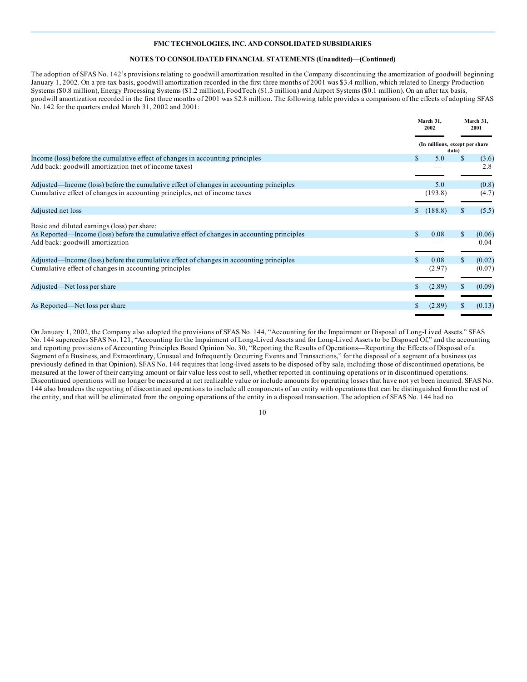#### **NOTES TO CONSOLIDATED FINANCIAL STATEMENTS (Unaudited)—(Continued)**

The adoption of SFAS No. 142's provisions relating to goodwill amortization resulted in the Company discontinuing the amortization of goodwill beginning January 1, 2002. On a pre-tax basis, goodwill amortization recorded in the first three months of 2001 was \$3.4 million, which related to Energy Production Systems (\$0.8 million), Energy Processing Systems (\$1.2 million), FoodTech (\$1.3 million) and Airport Systems (\$0.1 million). On an after tax basis, goodwill amortization recorded in the first three months of 2001 was \$2.8 million. The following table provides a comparison of the effects of adopting SFAS No. 142 for the quarters ended March 31, 2002 and 2001:

|                                                                                            | March 31.<br>2002              |              | March 31.<br>2001 |
|--------------------------------------------------------------------------------------------|--------------------------------|--------------|-------------------|
|                                                                                            | (In millions, except per share | data)        |                   |
| Income (loss) before the cumulative effect of changes in accounting principles             | \$<br>5.0                      | $\mathbb{S}$ | (3.6)             |
| Add back: goodwill amortization (net of income taxes)                                      |                                |              | 2.8               |
| Adjusted—Income (loss) before the cumulative effect of changes in accounting principles    | 5.0                            |              | (0.8)             |
| Cumulative effect of changes in accounting principles, net of income taxes                 | (193.8)                        |              | (4.7)             |
| Adjusted net loss                                                                          | (188.8)                        |              | (5.5)             |
| Basic and diluted earnings (loss) per share:                                               |                                |              |                   |
| As Reported—Income (loss) before the cumulative effect of changes in accounting principles | \$<br>0.08                     | S            | (0.06)            |
| Add back: goodwill amortization                                                            |                                |              | 0.04              |
| Adjusted—Income (loss) before the cumulative effect of changes in accounting principles    | 0.08                           |              | (0.02)            |
| Cumulative effect of changes in accounting principles                                      | (2.97)                         |              | (0.07)            |
| Adjusted—Net loss per share                                                                | (2.89)                         |              | (0.09)            |
|                                                                                            |                                |              |                   |
| As Reported—Net loss per share                                                             | (2.89)                         |              | (0.13)            |
|                                                                                            |                                |              |                   |

On January 1, 2002, the Company also adopted the provisions of SFAS No. 144, "Accounting for the Impairment or Disposal of Long-Lived Assets." SFAS No. 144 supercedes SFAS No. 121, "Accounting for the Impairment of Long-Lived Assets and for Long-Lived Assets to be Disposed Of," and the accounting and reporting provisions of Accounting Principles Board Opinion No. 30, "Reporting the Results of Operations—Reporting the Effects of Disposal of a Segment of a Business, and Extraordinary, Unusual and Infrequently Occurring Events and Transactions," for the disposal of a segment of a business (as previously defined in that Opinion). SFAS No. 144 requires that long-lived assets to be disposed of by sale, including those of discontinued operations, be measured at the lower of their carrying amount or fair value less cost to sell, whether reported in continuing operations or in discontinued operations. Discontinued operations will no longer be measured at net realizable value or include amounts for operating losses that have not yet been incurred. SFAS No. 144 also broadens the reporting of discontinued operations to include all components of an entity with operations that can be distinguished from the rest of the entity, and that will be eliminated from the ongoing operations of the entity in a disposal transaction. The adoption of SFAS No. 144 had no

| I | ٦             |
|---|---------------|
|   | ۰.<br>×<br>۰. |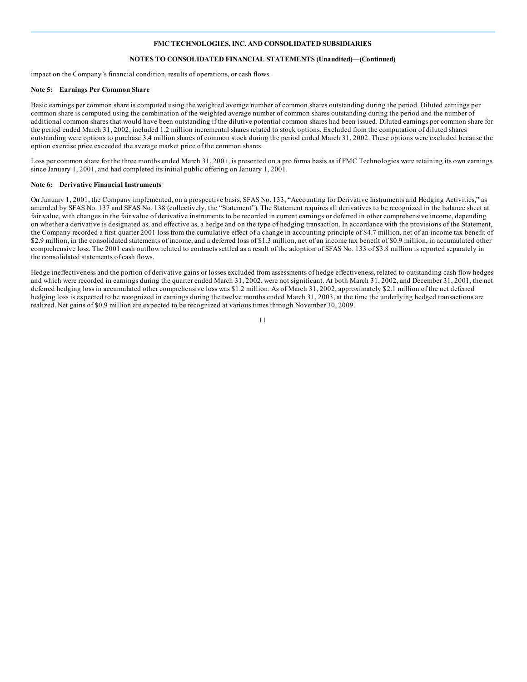#### **NOTES TO CONSOLIDATED FINANCIAL STATEMENTS (Unaudited)—(Continued)**

impact on the Company's financial condition, results of operations, or cash flows.

#### **Note 5: Earnings Per Common Share**

Basic earnings per common share is computed using the weighted average number of common shares outstanding during the period. Diluted earnings per common share is computed using the combination of the weighted average number of common shares outstanding during the period and the number of additional common shares that would have been outstanding if the dilutive potential common shares had been issued. Diluted earnings per common share for the period ended March 31, 2002, included 1.2 million incremental shares related to stock options. Excluded from the computation of diluted shares outstanding were options to purchase 3.4 million shares of common stock during the period ended March 31, 2002. These options were excluded because the option exercise price exceeded the average market price of the common shares.

Loss per common share for the three months ended March 31, 2001, is presented on a pro forma basis as if FMC Technologies were retaining its own earnings since January 1, 2001, and had completed its initial public offering on January 1, 2001.

#### **Note 6: Derivative Financial Instruments**

On January 1, 2001, the Company implemented, on a prospective basis, SFAS No. 133, "Accounting for Derivative Instruments and Hedging Activities," as amended by SFAS No. 137 and SFAS No. 138 (collectively, the "Statement"). The Statement requires all derivatives to be recognized in the balance sheet at fair value, with changes in the fair value of derivative instruments to be recorded in current earnings or deferred in other comprehensive income, depending on whether a derivative is designated as, and effective as, a hedge and on the type of hedging transaction. In accordance with the provisions of the Statement, the Company recorded a first-quarter 2001 loss from the cumulative effect of a change in accounting principle of \$4.7 million, net of an income tax benefit of \$2.9 million, in the consolidated statements of income, and a deferred loss of \$1.3 million, net of an income tax benefit of \$0.9 million, in accumulated other comprehensive loss. The 2001 cash outflow related to contracts settled as a result of the adoption of SFAS No. 133 of \$3.8 million is reported separately in the consolidated statements of cash flows.

Hedge ineffectiveness and the portion of derivative gains or losses excluded from assessments of hedge effectiveness, related to outstanding cash flow hedges and which were recorded in earnings during the quarter ended March 31, 2002, were not significant. At both March 31, 2002, and December 31, 2001, the net deferred hedging loss in accumulated other comprehensive loss was \$1.2 million. As of March 31, 2002, approximately \$2.1 million of the net deferred hedging loss is expected to be recognized in earnings during the twelve months ended March 31, 2003, at the time the underlying hedged transactions are realized. Net gains of \$0.9 million are expected to be recognized at various times through November 30, 2009.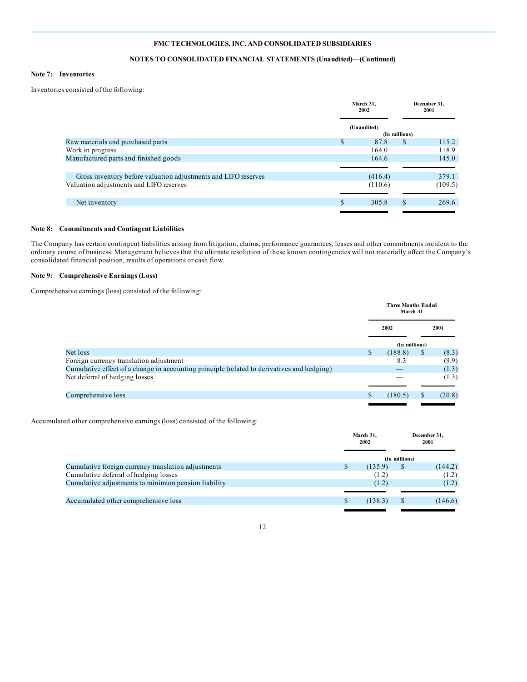## **NOTES TO CONSOLIDATED FINANCIAL STATEMENTS (Unaudited)—(Continued)**

#### **Note 7: Inventories**

Inventories consisted of the following:

|                                                                | March 31,<br>2002 |               | December 31,<br>2001 |
|----------------------------------------------------------------|-------------------|---------------|----------------------|
|                                                                | (Unaudited)       |               |                      |
|                                                                |                   | (In millions) |                      |
| Raw materials and purchased parts                              | \$<br>87.8        | <sup>\$</sup> | 115.2                |
| Work in progress                                               | 164.0             |               | 118.9                |
| Manufactured parts and finished goods                          | 164.6             |               | 145.0                |
|                                                                |                   |               |                      |
| Gross inventory before valuation adjustments and LIFO reserves | (416.4)           |               | 379.1                |
| Valuation adjustments and LIFO reserves                        | (110.6)           |               | (109.5)              |
|                                                                |                   |               |                      |
| Net inventory                                                  | \$<br>305.8       | \$.           | 269.6                |
|                                                                |                   |               |                      |

#### **Note 8: Commitments and Contingent Liabilities**

The Company has certain contingent liabilities arising from litigation, claims, performance guarantees, leases and other commitments incident to the ordinary course of business. Management believes that the ultimate resolution of these known contingencies will not materially affect the Company's consolidated financial position, results of operations or cash flow.

#### **Note 9: Comprehensive Earnings (Loss)**

Comprehensive earnings (loss) consisted of the following:

|                                                                                            | <b>Three Months Ended</b><br>March 31 |               |      |        |
|--------------------------------------------------------------------------------------------|---------------------------------------|---------------|------|--------|
|                                                                                            | 2002                                  |               | 2001 |        |
|                                                                                            |                                       | (In millions) |      |        |
| Net loss                                                                                   | \$                                    | (188.8)       | \$   | (8.3)  |
| Foreign currency translation adjustment                                                    |                                       | 8.3           |      | (9.9)  |
| Cumulative effect of a change in accounting principle (related to derivatives and hedging) |                                       |               |      | (1.3)  |
| Net deferral of hedging losses                                                             |                                       |               |      | (1.3)  |
|                                                                                            |                                       |               |      |        |
| Comprehensive loss                                                                         | S                                     | (180.5)       | S.   | (20.8) |
|                                                                                            |                                       |               |      |        |

Accumulated other comprehensive earnings (loss) consisted of the following:

|                                                     | March 31,<br>2002 |         | December 31,<br>2001 |         |
|-----------------------------------------------------|-------------------|---------|----------------------|---------|
|                                                     |                   |         | (In millions)        |         |
| Cumulative foreign currency translation adjustments |                   | (135.9) | \$                   | (144.2) |
| Cumulative deferral of hedging losses               |                   | (1.2)   |                      | (1.2)   |
| Cumulative adjustments to minimum pension liability |                   | (1.2)   |                      | (1.2)   |
|                                                     |                   |         |                      |         |
| Accumulated other comprehensive loss                |                   | (138.3) |                      | (146.6) |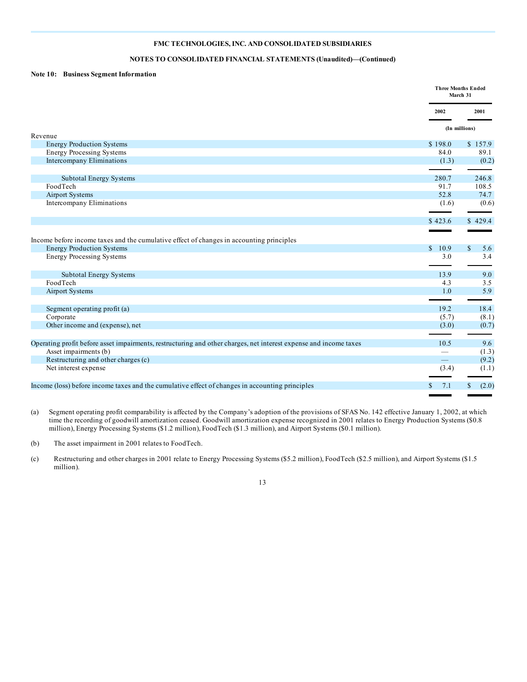#### **NOTES TO CONSOLIDATED FINANCIAL STATEMENTS (Unaudited)—(Continued)**

#### **Note 10: Business Segment Information**

|                                                                                                                   |                          | <b>Three Months Ended</b><br>March 31 |
|-------------------------------------------------------------------------------------------------------------------|--------------------------|---------------------------------------|
|                                                                                                                   | 2002                     | 2001                                  |
|                                                                                                                   |                          | (In millions)                         |
| Revenue                                                                                                           | \$198.0                  |                                       |
| <b>Energy Production Systems</b><br><b>Energy Processing Systems</b>                                              | 84.0                     | \$157.9<br>89.1                       |
| <b>Intercompany Eliminations</b>                                                                                  | (1.3)                    | (0.2)                                 |
|                                                                                                                   |                          |                                       |
| <b>Subtotal Energy Systems</b>                                                                                    | 280.7                    | 246.8                                 |
| FoodTech                                                                                                          | 91.7                     | 108.5                                 |
| <b>Airport Systems</b>                                                                                            | 52.8                     | 74.7                                  |
| Intercompany Eliminations                                                                                         | (1.6)                    | (0.6)                                 |
|                                                                                                                   |                          |                                       |
|                                                                                                                   | \$423.6                  | \$429.4                               |
|                                                                                                                   |                          |                                       |
| Income before income taxes and the cumulative effect of changes in accounting principles                          |                          |                                       |
| <b>Energy Production Systems</b>                                                                                  | \$10.9                   | $\mathcal{S}$<br>5.6                  |
| <b>Energy Processing Systems</b>                                                                                  | 3.0                      | 3.4                                   |
|                                                                                                                   |                          |                                       |
| Subtotal Energy Systems                                                                                           | 13.9                     | 9.0                                   |
| FoodTech                                                                                                          | 4.3                      | 3.5                                   |
| <b>Airport Systems</b>                                                                                            | 1.0                      | 5.9                                   |
|                                                                                                                   |                          |                                       |
| Segment operating profit (a)                                                                                      | 19.2                     | 18.4                                  |
| Corporate                                                                                                         | (5.7)                    | (8.1)                                 |
| Other income and (expense), net                                                                                   | (3.0)                    | (0.7)                                 |
|                                                                                                                   |                          |                                       |
| Operating profit before asset impairments, restructuring and other charges, net interest expense and income taxes | 10.5                     | 9.6                                   |
| Asset impairments (b)                                                                                             |                          | (1.3)                                 |
| Restructuring and other charges (c)                                                                               | $\overline{\phantom{0}}$ | (9.2)                                 |
| Net interest expense                                                                                              | (3.4)                    | (1.1)                                 |
|                                                                                                                   |                          |                                       |
| Income (loss) before income taxes and the cumulative effect of changes in accounting principles                   | 7.1<br>S.                | (2.0)<br>\$                           |
|                                                                                                                   |                          |                                       |

(a) Segment operating profit comparability is affected by the Company's adoption of the provisions of SFAS No. 142 effective January 1, 2002, at which time the recording of goodwill amortization ceased. Goodwill amortization expense recognized in 2001 relates to Energy Production Systems (\$0.8 million), Energy Processing Systems (\$1.2 million), FoodTech (\$1.3 million), and Airport Systems (\$0.1 million).

(b) The asset impairment in 2001 relates to FoodTech.

(c) Restructuring and other charges in 2001 relate to Energy Processing Systems (\$5.2 million), FoodTech (\$2.5 million), and Airport Systems (\$1.5 million).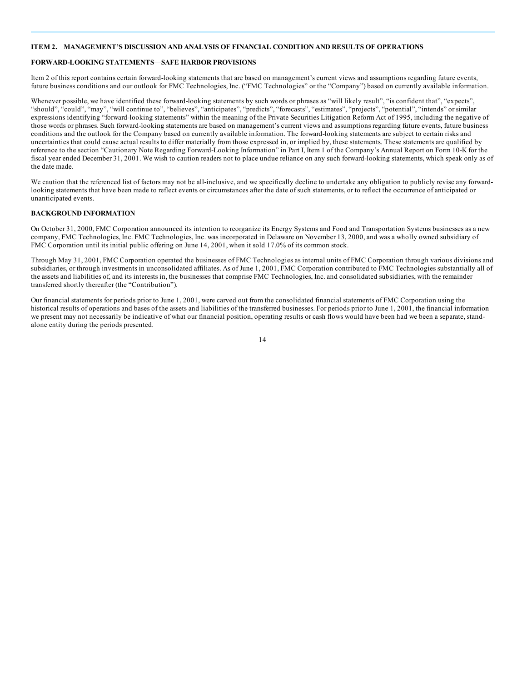#### **ITEM 2. MANAGEMENT'S DISCUSSION AND ANALYSIS OF FINANCIAL CONDITION AND RESULTS OF OPERATIONS**

#### **FORWARD-LOOKING STATEMENTS—SAFE HARBOR PROVISIONS**

Item 2 of this report contains certain forward-looking statements that are based on management's current views and assumptions regarding future events, future business conditions and our outlook for FMC Technologies, Inc. ("FMC Technologies" or the "Company") based on currently available information.

Whenever possible, we have identified these forward-looking statements by such words or phrases as "will likely result", "is confident that", "expects", "should", "could", "may", "will continue to", "believes", "anticipates", "predicts", "forecasts", "estimates", "projects", "potential", "intends" or similar expressions identifying "forward-looking statements" within the meaning of the Private Securities Litigation Reform Act of 1995, including the negative of those words or phrases. Such forward-looking statements are based on management's current views and assumptions regarding future events, future business conditions and the outlook for the Company based on currently available information. The forward-looking statements are subject to certain risks and uncertainties that could cause actual results to differ materially from those expressed in, or implied by, these statements. These statements are qualified by reference to the section "Cautionary Note Regarding Forward-Looking Information" in Part I, Item 1 of the Company's Annual Report on Form 10-K for the fiscal year ended December 31, 2001. We wish to caution readers not to place undue reliance on any such forward-looking statements, which speak only as of the date made.

We caution that the referenced list of factors may not be all-inclusive, and we specifically decline to undertake any obligation to publicly revise any forwardlooking statements that have been made to reflect events or circumstances after the date of such statements, or to reflect the occurrence of anticipated or unanticipated events.

#### **BACKGROUND INFORMATION**

On October 31, 2000, FMC Corporation announced its intention to reorganize its Energy Systems and Food and Transportation Systems businesses as a new company, FMC Technologies, Inc. FMC Technologies, Inc. was incorporated in Delaware on November 13, 2000, and was a wholly owned subsidiary of FMC Corporation until its initial public offering on June 14, 2001, when it sold 17.0% of its common stock.

Through May 31, 2001, FMC Corporation operated the businesses of FMC Technologies as internal units of FMC Corporation through various divisions and subsidiaries, or through investments in unconsolidated affiliates. As of June 1, 2001, FMC Corporation contributed to FMC Technologies substantially all of the assets and liabilities of, and its interests in, the businesses that comprise FMC Technologies, Inc. and consolidated subsidiaries, with the remainder transferred shortly thereafter (the "Contribution").

Our financial statements for periods prior to June 1, 2001, were carved out from the consolidated financial statements of FMC Corporation using the historical results of operations and bases of the assets and liabilities of the transferred businesses. For periods prior to June 1, 2001, the financial information we present may not necessarily be indicative of what our financial position, operating results or cash flows would have been had we been a separate, standalone entity during the periods presented.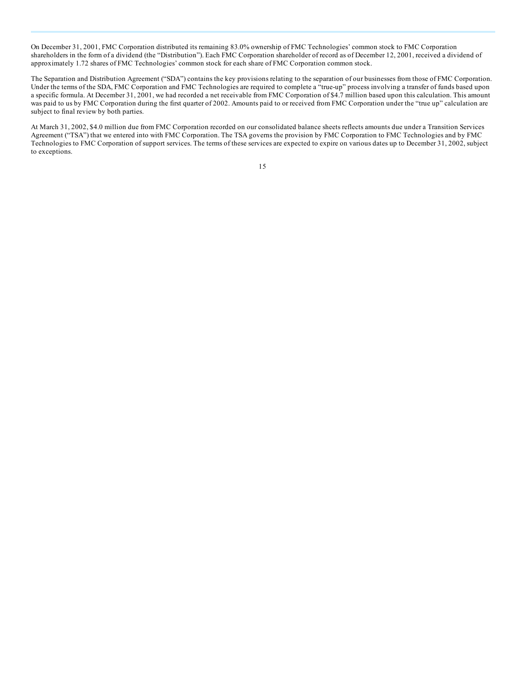On December 31, 2001, FMC Corporation distributed its remaining 83.0% ownership of FMC Technologies' common stock to FMC Corporation shareholders in the form of a dividend (the "Distribution"). Each FMC Corporation shareholder of record as of December 12, 2001, received a dividend of approximately 1.72 shares of FMC Technologies' common stock for each share of FMC Corporation common stock.

The Separation and Distribution Agreement ("SDA") contains the key provisions relating to the separation of our businesses from those of FMC Corporation. Under the terms of the SDA, FMC Corporation and FMC Technologies are required to complete a "true-up" process involving a transfer of funds based upon a specific formula. At December 31, 2001, we had recorded a net receivable from FMC Corporation of \$4.7 million based upon this calculation. This amount was paid to us by FMC Corporation during the first quarter of 2002. Amounts paid to or received from FMC Corporation under the "true up" calculation are subject to final review by both parties.

At March 31, 2002, \$4.0 million due from FMC Corporation recorded on our consolidated balance sheets reflects amounts due under a Transition Services Agreement ("TSA") that we entered into with FMC Corporation. The TSA governs the provision by FMC Corporation to FMC Technologies and by FMC Technologies to FMC Corporation of support services. The terms of these services are expected to expire on various dates up to December 31, 2002, subject to exceptions.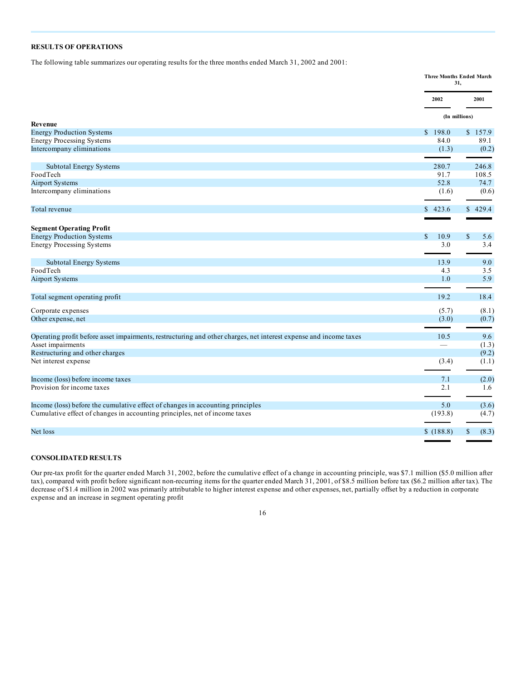# **RESULTS OF OPERATIONS**

The following table summarizes our operating results for the three months ended March 31, 2002 and 2001:

|                                                                                                                   |                      | <b>Three Months Ended March</b><br>31. |
|-------------------------------------------------------------------------------------------------------------------|----------------------|----------------------------------------|
|                                                                                                                   | 2002                 | 2001                                   |
|                                                                                                                   |                      | (In millions)                          |
| <b>Revenue</b>                                                                                                    | \$198.0              | \$157.9                                |
| <b>Energy Production Systems</b><br><b>Energy Processing Systems</b>                                              | 84.0                 | 89.1                                   |
| Intercompany eliminations                                                                                         | (1.3)                | (0.2)                                  |
|                                                                                                                   |                      |                                        |
| Subtotal Energy Systems                                                                                           | 280.7                | 246.8                                  |
| FoodTech                                                                                                          | 91.7                 | 108.5                                  |
| <b>Airport Systems</b>                                                                                            | 52.8                 | 74.7                                   |
| Intercompany eliminations                                                                                         | (1.6)                | (0.6)                                  |
| Total revenue                                                                                                     | \$423.6              | \$429.4                                |
|                                                                                                                   |                      |                                        |
| <b>Segment Operating Profit</b>                                                                                   |                      |                                        |
| <b>Energy Production Systems</b>                                                                                  | $\mathbb{S}$<br>10.9 | $\mathbb{S}$<br>5.6                    |
| <b>Energy Processing Systems</b>                                                                                  | 3.0                  | 3.4                                    |
| <b>Subtotal Energy Systems</b>                                                                                    | 13.9                 | 9.0                                    |
| FoodTech                                                                                                          | 4.3                  | 3.5                                    |
| <b>Airport Systems</b>                                                                                            | 1.0                  | 5.9                                    |
| Total segment operating profit                                                                                    | 19.2                 | 18.4                                   |
| Corporate expenses                                                                                                | (5.7)                | (8.1)                                  |
| Other expense, net                                                                                                | (3.0)                | (0.7)                                  |
|                                                                                                                   |                      |                                        |
| Operating profit before asset impairments, restructuring and other charges, net interest expense and income taxes | 10.5                 | 9.6                                    |
| Asset impairments<br>Restructuring and other charges                                                              |                      | (1.3)<br>(9.2)                         |
| Net interest expense                                                                                              | (3.4)                | (1.1)                                  |
|                                                                                                                   |                      |                                        |
| Income (loss) before income taxes                                                                                 | 7.1                  | (2.0)                                  |
| Provision for income taxes                                                                                        | 2.1                  | 1.6                                    |
| Income (loss) before the cumulative effect of changes in accounting principles                                    | 5.0                  | (3.6)                                  |
| Cumulative effect of changes in accounting principles, net of income taxes                                        | (193.8)              | (4.7)                                  |
| Net loss                                                                                                          | \$(188.8)            | \$<br>(8.3)                            |
|                                                                                                                   |                      |                                        |

# **CONSOLIDATED RESULTS**

Our pre-tax profit for the quarter ended March 31, 2002, before the cumulative effect of a change in accounting principle, was \$7.1 million (\$5.0 million after tax), compared with profit before significant non-recurring items for the quarter ended March 31, 2001, of \$8.5 million before tax (\$6.2 million after tax). The decrease of \$1.4 million in 2002 was primarily attributable to higher interest expense and other expenses, net, partially offset by a reduction in corporate expense and an increase in segment operating profit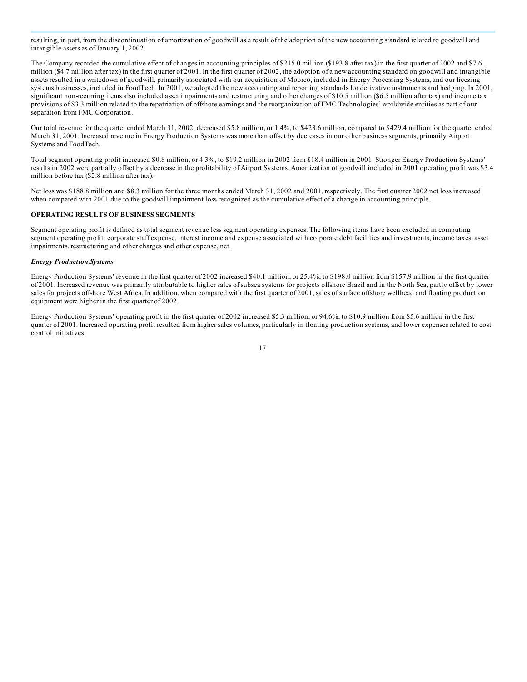resulting, in part, from the discontinuation of amortization of goodwill as a result of the adoption of the new accounting standard related to goodwill and intangible assets as of January 1, 2002.

The Company recorded the cumulative effect of changes in accounting principles of \$215.0 million (\$193.8 after tax) in the first quarter of 2002 and \$7.6 million (\$4.7 million after tax) in the first quarter of 2001. In the first quarter of 2002, the adoption of a new accounting standard on goodwill and intangible assets resulted in a writedown of goodwill, primarily associated with our acquisition of Moorco, included in Energy Processing Systems, and our freezing systems businesses, included in FoodTech. In 2001, we adopted the new accounting and reporting standards for derivative instruments and hedging. In 2001, significant non-recurring items also included asset impairments and restructuring and other charges of \$10.5 million (\$6.5 million after tax) and income tax provisions of \$3.3 million related to the repatriation of offshore earnings and the reorganization of FMC Technologies' worldwide entities as part of our separation from FMC Corporation.

Our total revenue for the quarter ended March 31, 2002, decreased \$5.8 million, or 1.4%, to \$423.6 million, compared to \$429.4 million for the quarter ended March 31, 2001. Increased revenue in Energy Production Systems was more than offset by decreases in our other business segments, primarily Airport Systems and FoodTech.

Total segment operating profit increased \$0.8 million, or 4.3%, to \$19.2 million in 2002 from \$18.4 million in 2001. Stronger Energy Production Systems' results in 2002 were partially offset by a decrease in the profitability of Airport Systems. Amortization of goodwill included in 2001 operating profit was \$3.4 million before tax (\$2.8 million after tax).

Net loss was \$188.8 million and \$8.3 million for the three months ended March 31, 2002 and 2001, respectively. The first quarter 2002 net loss increased when compared with 2001 due to the goodwill impairment loss recognized as the cumulative effect of a change in accounting principle.

## **OPERATING RESULTS OF BUSINESS SEGMENTS**

Segment operating profit is defined as total segment revenue less segment operating expenses. The following items have been excluded in computing segment operating profit: corporate staff expense, interest income and expense associated with corporate debt facilities and investments, income taxes, asset impairments, restructuring and other charges and other expense, net.

#### *Energy Production Systems*

Energy Production Systems' revenue in the first quarter of 2002 increased \$40.1 million, or 25.4%, to \$198.0 million from \$157.9 million in the first quarter of 2001. Increased revenue was primarily attributable to higher sales of subsea systems for projects offshore Brazil and in the North Sea, partly offset by lower sales for projects offshore West Africa. In addition, when compared with the first quarter of 2001, sales of surface offshore wellhead and floating production equipment were higher in the first quarter of 2002.

Energy Production Systems' operating profit in the first quarter of 2002 increased \$5.3 million, or 94.6%, to \$10.9 million from \$5.6 million in the first quarter of 2001. Increased operating profit resulted from higher sales volumes, particularly in floating production systems, and lower expenses related to cost control initiatives.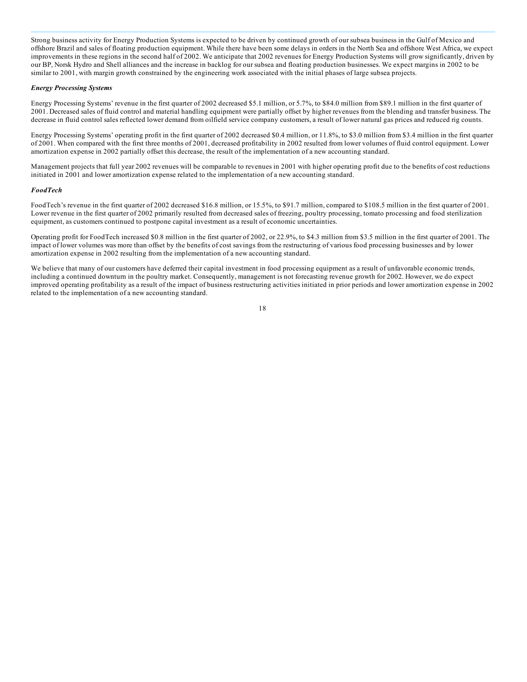Strong business activity for Energy Production Systems is expected to be driven by continued growth of our subsea business in the Gulf of Mexico and offshore Brazil and sales of floating production equipment. While there have been some delays in orders in the North Sea and offshore West Africa, we expect improvements in these regions in the second half of 2002. We anticipate that 2002 revenues for Energy Production Systems will grow significantly, driven by our BP, Norsk Hydro and Shell alliances and the increase in backlog for our subsea and floating production businesses. We expect margins in 2002 to be similar to 2001, with margin growth constrained by the engineering work associated with the initial phases of large subsea projects.

#### *Energy Processing Systems*

Energy Processing Systems' revenue in the first quarter of 2002 decreased \$5.1 million, or 5.7%, to \$84.0 million from \$89.1 million in the first quarter of 2001. Decreased sales of fluid control and material handling equipment were partially offset by higher revenues from the blending and transfer business. The decrease in fluid control sales reflected lower demand from oilfield service company customers, a result of lower natural gas prices and reduced rig counts.

Energy Processing Systems' operating profit in the first quarter of 2002 decreased \$0.4 million, or 11.8%, to \$3.0 million from \$3.4 million in the first quarter of 2001. When compared with the first three months of 2001, decreased profitability in 2002 resulted from lower volumes of fluid control equipment. Lower amortization expense in 2002 partially offset this decrease, the result of the implementation of a new accounting standard.

Management projects that full year 2002 revenues will be comparable to revenues in 2001 with higher operating profit due to the benefits of cost reductions initiated in 2001 and lower amortization expense related to the implementation of a new accounting standard.

#### *FoodTech*

FoodTech's revenue in the first quarter of 2002 decreased \$16.8 million, or 15.5%, to \$91.7 million, compared to \$108.5 million in the first quarter of 2001. Lower revenue in the first quarter of 2002 primarily resulted from decreased sales of freezing, poultry processing, tomato processing and food sterilization equipment, as customers continued to postpone capital investment as a result of economic uncertainties.

Operating profit for FoodTech increased \$0.8 million in the first quarter of 2002, or 22.9%, to \$4.3 million from \$3.5 million in the first quarter of 2001. The impact of lower volumes was more than offset by the benefits of cost savings from the restructuring of various food processing businesses and by lower amortization expense in 2002 resulting from the implementation of a new accounting standard.

We believe that many of our customers have deferred their capital investment in food processing equipment as a result of unfavorable economic trends, including a continued downturn in the poultry market. Consequently, management is not forecasting revenue growth for 2002. However, we do expect improved operating profitability as a result of the impact of business restructuring activities initiated in prior periods and lower amortization expense in 2002 related to the implementation of a new accounting standard.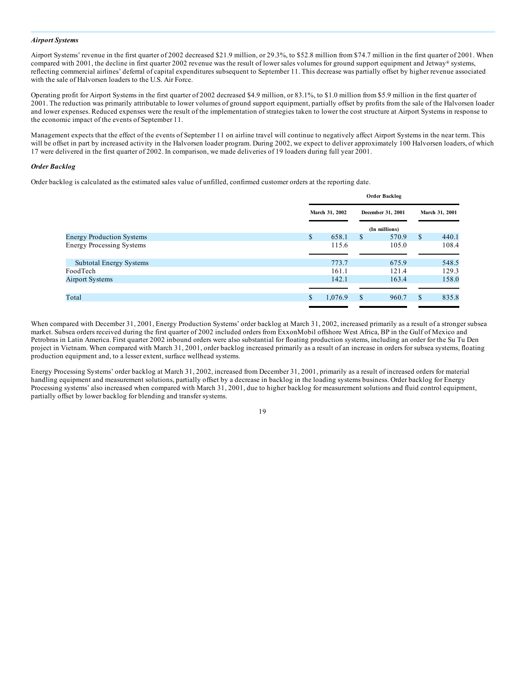#### *Airport Systems*

Airport Systems' revenue in the first quarter of 2002 decreased \$21.9 million, or 29.3%, to \$52.8 million from \$74.7 million in the first quarter of 2001. When compared with 2001, the decline in first quarter 2002 revenue was the result of lower sales volumes for ground support equipment and Jetway® systems, reflecting commercial airlines' deferral of capital expenditures subsequent to September 11. This decrease was partially offset by higher revenue associated with the sale of Halvorsen loaders to the U.S. Air Force.

Operating profit for Airport Systems in the first quarter of 2002 decreased \$4.9 million, or 83.1%, to \$1.0 million from \$5.9 million in the first quarter of 2001. The reduction was primarily attributable to lower volumes of ground support equipment, partially offset by profits from the sale of the Halvorsen loader and lower expenses. Reduced expenses were the result of the implementation of strategies taken to lower the cost structure at Airport Systems in response to the economic impact of the events of September 11.

Management expects that the effect of the events of September 11 on airline travel will continue to negatively affect Airport Systems in the near term. This will be offset in part by increased activity in the Halvorsen loader program. During 2002, we expect to deliver approximately 100 Halvorsen loaders, of which 17 were delivered in the first quarter of 2002. In comparison, we made deliveries of 19 loaders during full year 2001.

#### *Order Backlog*

Order backlog is calculated as the estimated sales value of unfilled, confirmed customer orders at the reporting date.

|                                  | <b>Order Backlog</b> |         |                   |               |                |       |
|----------------------------------|----------------------|---------|-------------------|---------------|----------------|-------|
|                                  | March 31, 2002       |         | December 31, 2001 |               | March 31, 2001 |       |
|                                  |                      |         |                   | (In millions) |                |       |
| <b>Energy Production Systems</b> | \$                   | 658.1   | <sup>S</sup>      | 570.9         | <sup>\$</sup>  | 440.1 |
| <b>Energy Processing Systems</b> |                      | 115.6   |                   | 105.0         |                | 108.4 |
| Subtotal Energy Systems          |                      | 773.7   |                   | 675.9         |                | 548.5 |
| FoodTech                         |                      | 161.1   |                   | 121.4         |                | 129.3 |
| <b>Airport Systems</b>           |                      | 142.1   |                   | 163.4         |                | 158.0 |
|                                  |                      |         |                   |               |                |       |
| Total                            | \$                   | 1,076.9 | <sup>\$</sup>     | 960.7         | <sup>\$</sup>  | 835.8 |

When compared with December 31, 2001, Energy Production Systems' order backlog at March 31, 2002, increased primarily as a result of a stronger subsea market. Subsea orders received during the first quarter of 2002 included orders from ExxonMobil offshore West Africa, BP in the Gulf of Mexico and Petrobras in Latin America. First quarter 2002 inbound orders were also substantial for floating production systems, including an order for the Su Tu Den project in Vietnam. When compared with March 31, 2001, order backlog increased primarily as a result of an increase in orders for subsea systems, floating production equipment and, to a lesser extent, surface wellhead systems.

Energy Processing Systems' order backlog at March 31, 2002, increased from December 31, 2001, primarily as a result of increased orders for material handling equipment and measurement solutions, partially offset by a decrease in backlog in the loading systems business. Order backlog for Energy Processing systems' also increased when compared with March 31, 2001, due to higher backlog for measurement solutions and fluid control equipment, partially offset by lower backlog for blending and transfer systems.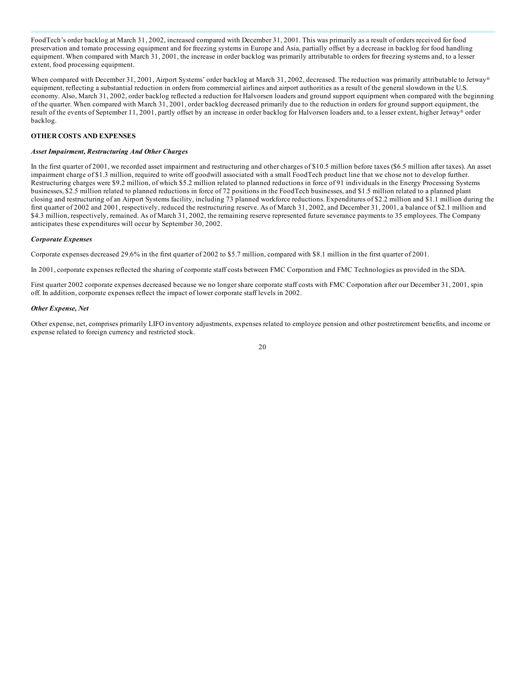FoodTech's order backlog at March 31, 2002, increased compared with December 31, 2001. This was primarily as a result of orders received for food preservation and tomato processing equipment and for freezing systems in Europe and Asia, partially offset by a decrease in backlog for food handling equipment. When compared with March 31, 2001, the increase in order backlog was primarily attributable to orders for freezing systems and, to a lesser extent, food processing equipment.

When compared with December 31, 2001, Airport Systems' order backlog at March 31, 2002, decreased. The reduction was primarily attributable to Jetway® equipment, reflecting a substantial reduction in orders from commercial airlines and airport authorities as a result of the general slowdown in the U.S. economy. Also, March 31, 2002, order backlog reflected a reduction for Halvorsen loaders and ground support equipment when compared with the beginning of the quarter. When compared with March 31, 2001, order backlog decreased primarily due to the reduction in orders for ground support equipment, the result of the events of September 11, 2001, partly offset by an increase in order backlog for Halvorsen loaders and, to a lesser extent, higher Jetway® order backlog.

#### **OTHER COSTS AND EXPENSES**

#### *Asset Impairment, Restructuring And Other Charges*

In the first quarter of 2001, we recorded asset impairment and restructuring and other charges of \$10.5 million before taxes (\$6.5 million after taxes). An asset impairment charge of \$1.3 million, required to write off goodwill associated with a small FoodTech product line that we chose not to develop further. Restructuring charges were \$9.2 million, of which \$5.2 million related to planned reductions in force of 91 individuals in the Energy Processing Systems businesses, \$2.5 million related to planned reductions in force of 72 positions in the FoodTech businesses, and \$1.5 million related to a planned plant closing and restructuring of an Airport Systems facility, including 73 planned workforce reductions. Expenditures of \$2.2 million and \$1.1 million during the first quarter of 2002 and 2001, respectively, reduced the restructuring reserve. As of March 31, 2002, and December 31, 2001, a balance of \$2.1 million and \$4.3 million, respectively, remained. As of March 31, 2002, the remaining reserve represented future severance payments to 35 employees. The Company anticipates these expenditures will occur by September 30, 2002.

#### *Corporate Expenses*

Corporate expenses decreased 29.6% in the first quarter of 2002 to \$5.7 million, compared with \$8.1 million in the first quarter of 2001.

In 2001, corporate expenses reflected the sharing of corporate staff costs between FMC Corporation and FMC Technologies as provided in the SDA.

First quarter 2002 corporate expenses decreased because we no longer share corporate staff costs with FMC Corporation after our December 31, 2001, spin off. In addition, corporate expenses reflect the impact of lower corporate staff levels in 2002.

#### *Other Expense, Net*

Other expense, net, comprises primarily LIFO inventory adjustments, expenses related to employee pension and other postretirement benefits, and income or expense related to foreign currency and restricted stock.

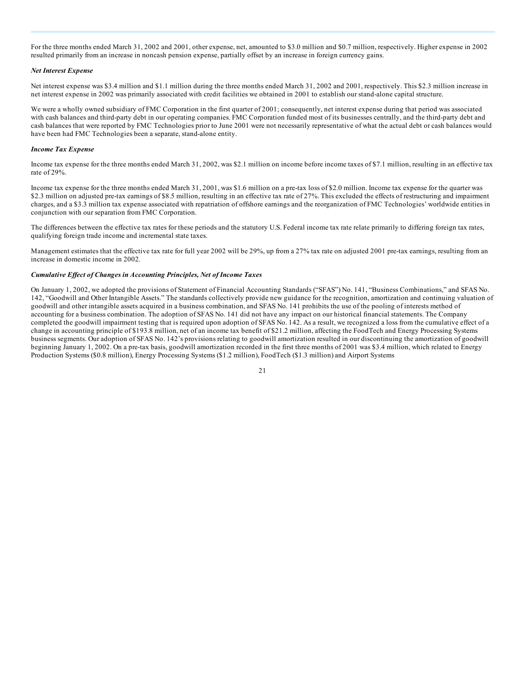For the three months ended March 31, 2002 and 2001, other expense, net, amounted to \$3.0 million and \$0.7 million, respectively. Higher expense in 2002 resulted primarily from an increase in noncash pension expense, partially offset by an increase in foreign currency gains.

#### *Net Interest Expense*

Net interest expense was \$3.4 million and \$1.1 million during the three months ended March 31, 2002 and 2001, respectively. This \$2.3 million increase in net interest expense in 2002 was primarily associated with credit facilities we obtained in 2001 to establish our stand-alone capital structure.

We were a wholly owned subsidiary of FMC Corporation in the first quarter of 2001; consequently, net interest expense during that period was associated with cash balances and third-party debt in our operating companies. FMC Corporation funded most of its businesses centrally, and the third-party debt and cash balances that were reported by FMC Technologies prior to June 2001 were not necessarily representative of what the actual debt or cash balances would have been had FMC Technologies been a separate, stand-alone entity.

#### *Income Tax Expense*

Income tax expense for the three months ended March 31, 2002, was \$2.1 million on income before income taxes of \$7.1 million, resulting in an effective tax rate of 29%.

Income tax expense for the three months ended March 31, 2001, was \$1.6 million on a pre-tax loss of \$2.0 million. Income tax expense for the quarter was \$2.3 million on adjusted pre-tax earnings of \$8.5 million, resulting in an effective tax rate of 27%. This excluded the effects of restructuring and impairment charges, and a \$3.3 million tax expense associated with repatriation of offshore earnings and the reorganization of FMC Technologies' worldwide entities in conjunction with our separation from FMC Corporation.

The differences between the effective tax rates for these periods and the statutory U.S. Federal income tax rate relate primarily to differing foreign tax rates, qualifying foreign trade income and incremental state taxes.

Management estimates that the effective tax rate for full year 2002 will be 29%, up from a 27% tax rate on adjusted 2001 pre-tax earnings, resulting from an increase in domestic income in 2002.

#### *Cumulative Ef ect of Changes in Accounting Principles, Net of Income Taxes*

On January 1, 2002, we adopted the provisions of Statement of Financial Accounting Standards ("SFAS") No. 141, "Business Combinations," and SFAS No. 142, "Goodwill and Other Intangible Assets." The standards collectively provide new guidance for the recognition, amortization and continuing valuation of goodwill and other intangible assets acquired in a business combination, and SFAS No. 141 prohibits the use of the pooling of interests method of accounting for a business combination. The adoption of SFAS No. 141 did not have any impact on our historical financial statements. The Company completed the goodwill impairment testing that is required upon adoption of SFAS No. 142. As a result, we recognized a loss from the cumulative effect of a change in accounting principle of \$193.8 million, net of an income tax benefit of \$21.2 million, affecting the FoodTech and Energy Processing Systems business segments. Our adoption of SFAS No. 142's provisions relating to goodwill amortization resulted in our discontinuing the amortization of goodwill beginning January 1, 2002. On a pre-tax basis, goodwill amortization recorded in the first three months of 2001 was \$3.4 million, which related to Energy Production Systems (\$0.8 million), Energy Processing Systems (\$1.2 million), FoodTech (\$1.3 million) and Airport Systems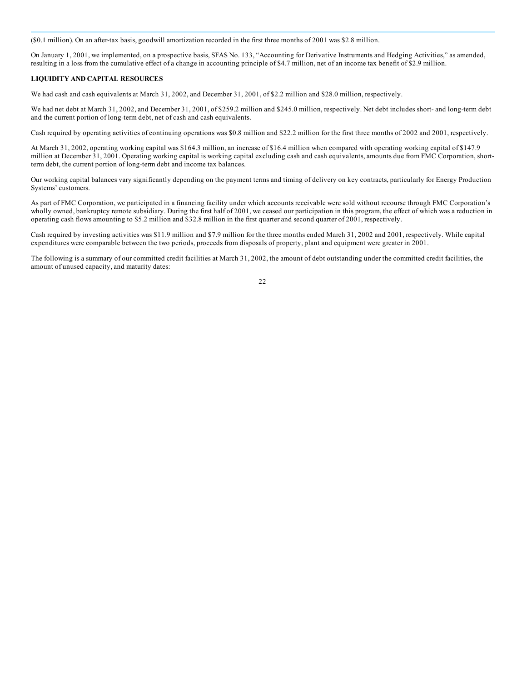(\$0.1 million). On an after-tax basis, goodwill amortization recorded in the first three months of 2001 was \$2.8 million.

On January 1, 2001, we implemented, on a prospective basis, SFAS No. 133, "Accounting for Derivative Instruments and Hedging Activities," as amended, resulting in a loss from the cumulative effect of a change in accounting principle of \$4.7 million, net of an income tax benefit of \$2.9 million.

#### **LIQUIDITY AND CAPITAL RESOURCES**

We had cash and cash equivalents at March 31, 2002, and December 31, 2001, of \$2.2 million and \$28.0 million, respectively.

We had net debt at March 31, 2002, and December 31, 2001, of \$259.2 million and \$245.0 million, respectively. Net debt includes short- and long-term debt and the current portion of long-term debt, net of cash and cash equivalents.

Cash required by operating activities of continuing operations was \$0.8 million and \$22.2 million for the first three months of 2002 and 2001, respectively.

At March 31, 2002, operating working capital was \$164.3 million, an increase of \$16.4 million when compared with operating working capital of \$147.9 million at December 31, 2001. Operating working capital is working capital excluding cash and cash equivalents, amounts due from FMC Corporation, shortterm debt, the current portion of long-term debt and income tax balances.

Our working capital balances vary significantly depending on the payment terms and timing of delivery on key contracts, particularly for Energy Production Systems' customers.

As part of FMC Corporation, we participated in a financing facility under which accounts receivable were sold without recourse through FMC Corporation's wholly owned, bankruptcy remote subsidiary. During the first half of 2001, we ceased our participation in this program, the effect of which was a reduction in operating cash flows amounting to \$5.2 million and \$32.8 million in the first quarter and second quarter of 2001, respectively.

Cash required by investing activities was \$11.9 million and \$7.9 million for the three months ended March 31, 2002 and 2001, respectively. While capital expenditures were comparable between the two periods, proceeds from disposals of property, plant and equipment were greater in 2001.

The following is a summary of our committed credit facilities at March 31, 2002, the amount of debt outstanding under the committed credit facilities, the amount of unused capacity, and maturity dates: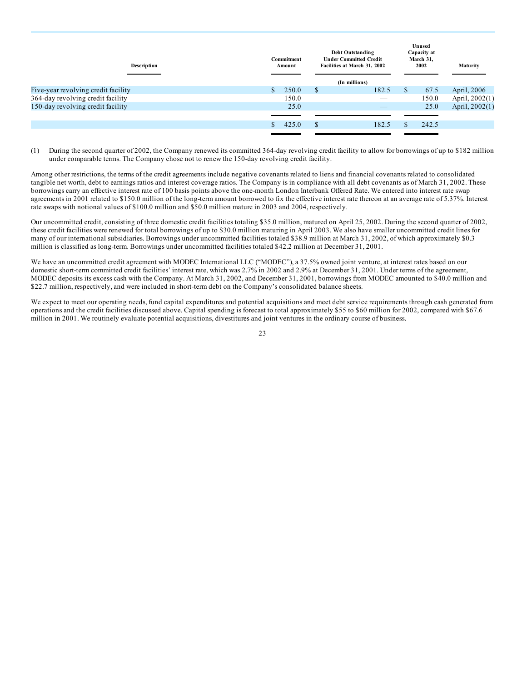| Description                         | Commitment<br>Amount | <b>Debt Outstanding</b><br><b>Under Committed Credit</b><br>Facilities at March 31, 2002<br>(In millions) |               | Unused<br>Capacity at<br>March 31,<br>2002 | Maturity       |
|-------------------------------------|----------------------|-----------------------------------------------------------------------------------------------------------|---------------|--------------------------------------------|----------------|
| Five-year revolving credit facility | 250.0                | \$<br>182.5                                                                                               | <sup>\$</sup> | 67.5                                       | April, 2006    |
| 364-day revolving credit facility   | 150.0                | __                                                                                                        |               | 150.0                                      | April, 2002(1) |
| 150-day revolving credit facility   | 25.0                 |                                                                                                           |               | 25.0                                       | April, 2002(1) |
|                                     |                      |                                                                                                           |               |                                            |                |
|                                     | 425.0                | \$<br>182.5                                                                                               |               | 242.5                                      |                |
|                                     |                      |                                                                                                           |               |                                            |                |

(1) During the second quarter of 2002, the Company renewed its committed 364-day revolving credit facility to allow for borrowings of up to \$182 million under comparable terms. The Company chose not to renew the 150-day revolving credit facility.

Among other restrictions, the terms of the credit agreements include negative covenants related to liens and financial covenants related to consolidated tangible net worth, debt to earnings ratios and interest coverage ratios. The Company is in compliance with all debt covenants as of March 31, 2002. These borrowings carry an effective interest rate of 100 basis points above the one-month London Interbank Offered Rate. We entered into interest rate swap agreements in 2001 related to \$150.0 million of the long-term amount borrowed to fix the effective interest rate thereon at an average rate of 5.37%. Interest rate swaps with notional values of \$100.0 million and \$50.0 million mature in 2003 and 2004, respectively.

Our uncommitted credit, consisting of three domestic credit facilities totaling \$35.0 million, matured on April 25, 2002. During the second quarter of 2002, these credit facilities were renewed for total borrowings of up to \$30.0 million maturing in April 2003. We also have smaller uncommitted credit lines for many of our international subsidiaries. Borrowings under uncommitted facilities totaled \$38.9 million at March 31, 2002, of which approximately \$0.3 million is classified as long-term. Borrowings under uncommitted facilities totaled \$42.2 million at December 31, 2001.

We have an uncommitted credit agreement with MODEC International LLC ("MODEC"), a 37.5% owned joint venture, at interest rates based on our domestic short-term committed credit facilities' interest rate, which was 2.7% in 2002 and 2.9% at December 31, 2001. Under terms of the agreement, MODEC deposits its excess cash with the Company. At March 31, 2002, and December 31, 2001, borrowings from MODEC amounted to \$40.0 million and \$22.7 million, respectively, and were included in short-term debt on the Company's consolidated balance sheets.

We expect to meet our operating needs, fund capital expenditures and potential acquisitions and meet debt service requirements through cash generated from operations and the credit facilities discussed above. Capital spending is forecast to total approximately \$55 to \$60 million for 2002, compared with \$67.6 million in 2001. We routinely evaluate potential acquisitions, divestitures and joint ventures in the ordinary course of business.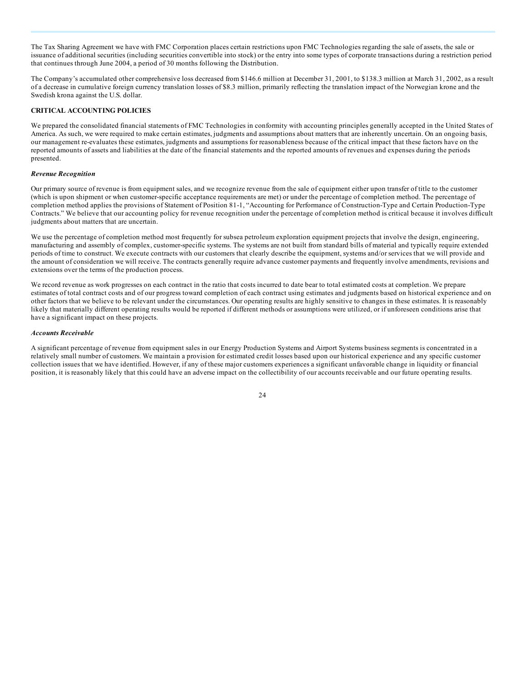The Tax Sharing Agreement we have with FMC Corporation places certain restrictions upon FMC Technologies regarding the sale of assets, the sale or issuance of additional securities (including securities convertible into stock) or the entry into some types of corporate transactions during a restriction period that continues through June 2004, a period of 30 months following the Distribution.

The Company's accumulated other comprehensive loss decreased from \$146.6 million at December 31, 2001, to \$138.3 million at March 31, 2002, as a result of a decrease in cumulative foreign currency translation losses of \$8.3 million, primarily reflecting the translation impact of the Norwegian krone and the Swedish krona against the U.S. dollar.

## **CRITICAL ACCOUNTING POLICIES**

We prepared the consolidated financial statements of FMC Technologies in conformity with accounting principles generally accepted in the United States of America. As such, we were required to make certain estimates, judgments and assumptions about matters that are inherently uncertain. On an ongoing basis, our management re-evaluates these estimates, judgments and assumptions for reasonableness because of the critical impact that these factors have on the reported amounts of assets and liabilities at the date of the financial statements and the reported amounts of revenues and expenses during the periods presented.

#### *Revenue Recognition*

Our primary source of revenue is from equipment sales, and we recognize revenue from the sale of equipment either upon transfer of title to the customer (which is upon shipment or when customer-specific acceptance requirements are met) or under the percentage of completion method. The percentage of completion method applies the provisions of Statement of Position 81-1, "Accounting for Performance of Construction-Type and Certain Production-Type Contracts." We believe that our accounting policy for revenue recognition under the percentage of completion method is critical because it involves difficult judgments about matters that are uncertain.

We use the percentage of completion method most frequently for subsea petroleum exploration equipment projects that involve the design, engineering, manufacturing and assembly of complex, customer-specific systems. The systems are not built from standard bills of material and typically require extended periods of time to construct. We execute contracts with our customers that clearly describe the equipment, systems and/or services that we will provide and the amount of consideration we will receive. The contracts generally require advance customer payments and frequently involve amendments, revisions and extensions over the terms of the production process.

We record revenue as work progresses on each contract in the ratio that costs incurred to date bear to total estimated costs at completion. We prepare estimates of total contract costs and of our progress toward completion of each contract using estimates and judgments based on historical experience and on other factors that we believe to be relevant under the circumstances. Our operating results are highly sensitive to changes in these estimates. It is reasonably likely that materially different operating results would be reported if different methods or assumptions were utilized, or if unforeseen conditions arise that have a significant impact on these projects.

#### *Accounts Receivable*

A significant percentage of revenue from equipment sales in our Energy Production Systems and Airport Systems business segments is concentrated in a relatively small number of customers. We maintain a provision for estimated credit losses based upon our historical experience and any specific customer collection issues that we have identified. However, if any of these major customers experiences a significant unfavorable change in liquidity or financial position, it is reasonably likely that this could have an adverse impact on the collectibility of our accounts receivable and our future operating results.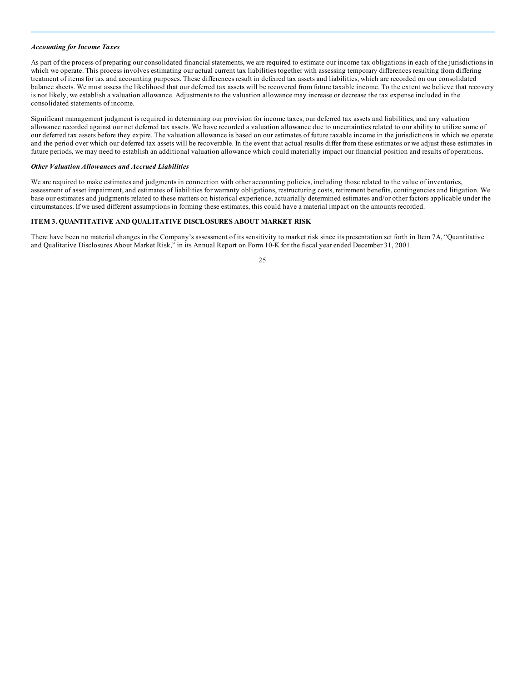#### *Accounting for Income Taxes*

As part of the process of preparing our consolidated financial statements, we are required to estimate our income tax obligations in each of the jurisdictions in which we operate. This process involves estimating our actual current tax liabilities together with assessing temporary differences resulting from differing treatment of items for tax and accounting purposes. These differences result in deferred tax assets and liabilities, which are recorded on our consolidated balance sheets. We must assess the likelihood that our deferred tax assets will be recovered from future taxable income. To the extent we believe that recovery is not likely, we establish a valuation allowance. Adjustments to the valuation allowance may increase or decrease the tax expense included in the consolidated statements of income.

Significant management judgment is required in determining our provision for income taxes, our deferred tax assets and liabilities, and any valuation allowance recorded against our net deferred tax assets. We have recorded a valuation allowance due to uncertainties related to our ability to utilize some of our deferred tax assets before they expire. The valuation allowance is based on our estimates of future taxable income in the jurisdictions in which we operate and the period over which our deferred tax assets will be recoverable. In the event that actual results differ from these estimates or we adjust these estimates in future periods, we may need to establish an additional valuation allowance which could materially impact our financial position and results of operations.

#### *Other Valuation Allowances and Accrued Liabilities*

We are required to make estimates and judgments in connection with other accounting policies, including those related to the value of inventories, assessment of asset impairment, and estimates of liabilities for warranty obligations, restructuring costs, retirement benefits, contingencies and litigation. We base our estimates and judgments related to these matters on historical experience, actuarially determined estimates and/or other factors applicable under the circumstances. If we used different assumptions in forming these estimates, this could have a material impact on the amounts recorded.

#### **ITEM 3. QUANTITATIVE AND QUALITATIVE DISCLOSURES ABOUT MARKET RISK**

There have been no material changes in the Company's assessment of its sensitivity to market risk since its presentation set forth in Item 7A, "Quantitative and Qualitative Disclosures About Market Risk," in its Annual Report on Form 10-K for the fiscal year ended December 31, 2001.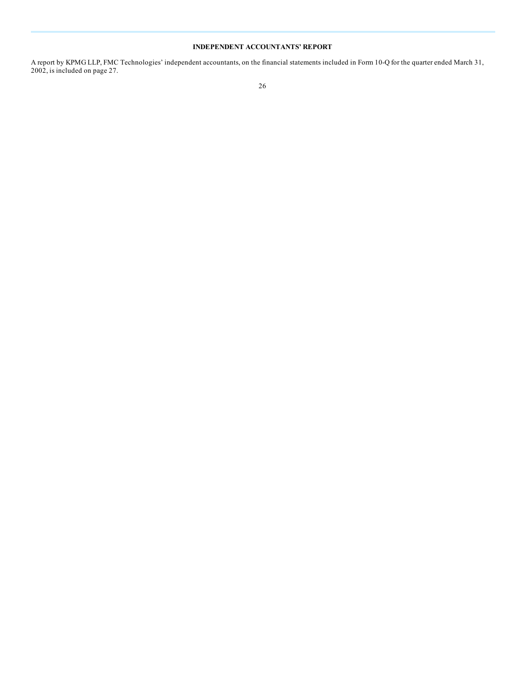# **INDEPENDENT ACCOUNTANTS' REPORT**

A report by KPMG LLP, FMC Technologies' independent accountants, on the financial statements included in Form 10-Q for the quarter ended March 31, 2002, is included on page 27.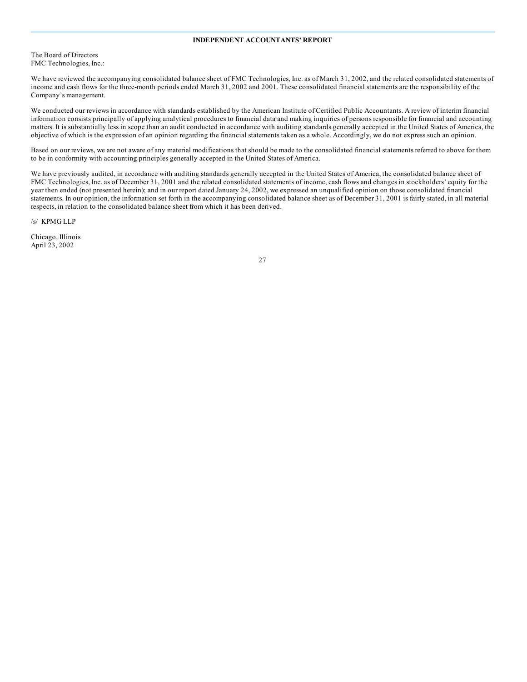## **INDEPENDENT ACCOUNTANTS' REPORT**

The Board of Directors FMC Technologies, Inc.:

We have reviewed the accompanying consolidated balance sheet of FMC Technologies, Inc. as of March 31, 2002, and the related consolidated statements of income and cash flows for the three-month periods ended March 31, 2002 and 2001. These consolidated financial statements are the responsibility of the Company's management.

We conducted our reviews in accordance with standards established by the American Institute of Certified Public Accountants. A review of interim financial information consists principally of applying analytical procedures to financial data and making inquiries of persons responsible for financial and accounting matters. It is substantially less in scope than an audit conducted in accordance with auditing standards generally accepted in the United States of America, the objective of which is the expression of an opinion regarding the financial statements taken as a whole. Accordingly, we do not express such an opinion.

Based on our reviews, we are not aware of any material modifications that should be made to the consolidated financial statements referred to above for them to be in conformity with accounting principles generally accepted in the United States of America.

We have previously audited, in accordance with auditing standards generally accepted in the United States of America, the consolidated balance sheet of FMC Technologies, Inc. as of December 31, 2001 and the related consolidated statements of income, cash flows and changes in stockholders' equity for the year then ended (not presented herein); and in our report dated January 24, 2002, we expressed an unqualified opinion on those consolidated financial statements. In our opinion, the information set forth in the accompanying consolidated balance sheet as of December 31, 2001 is fairly stated, in all material respects, in relation to the consolidated balance sheet from which it has been derived.

/s/ KPMG LLP

Chicago, Illinois April 23, 2002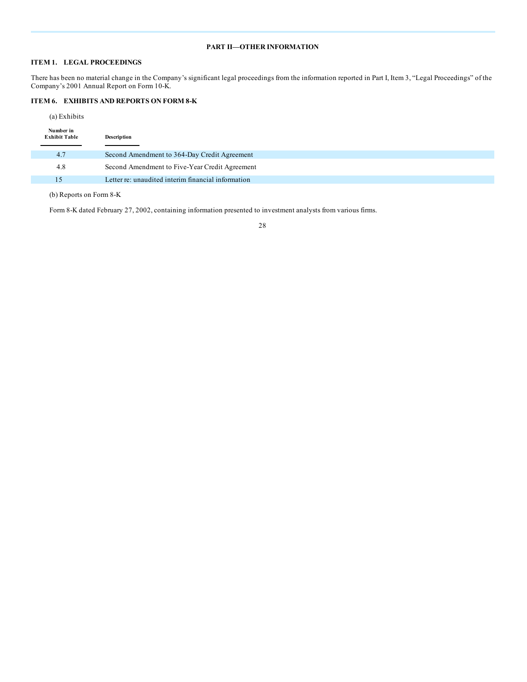# **PART II—OTHER INFORMATION**

# **ITEM 1. LEGAL PROCEEDINGS**

There has been no material change in the Company's significant legal proceedings from the information reported in Part I, Item 3, "Legal Proceedings" of the Company's 2001 Annual Report on Form 10-K.

# **ITEM 6. EXHIBITS AND REPORTS ON FORM 8-K**

(a) Exhibits

| Number in<br><b>Exhibit Table</b> | Description                                        |
|-----------------------------------|----------------------------------------------------|
| 4.7                               | Second Amendment to 364-Day Credit Agreement       |
| 4.8                               | Second Amendment to Five-Year Credit Agreement     |
| 15                                | Letter re: unaudited interim financial information |

(b) Reports on Form 8-K

Form 8-K dated February 27, 2002, containing information presented to investment analysts from various firms.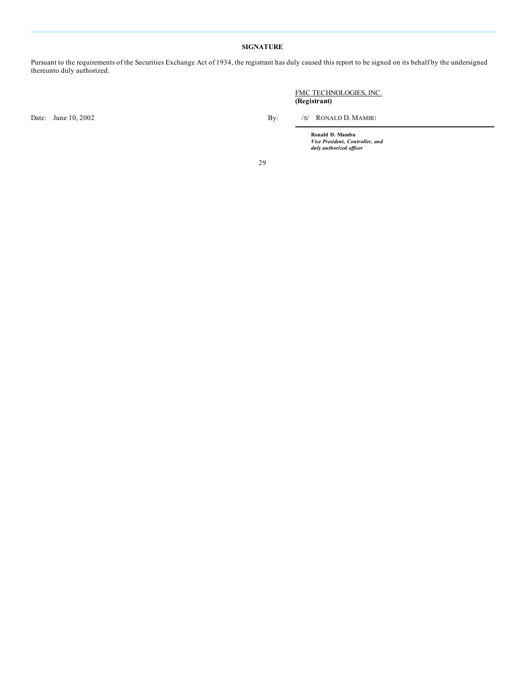# **SIGNATURE**

Pursuant to the requirements of the Securities Exchange Act of 1934, the registrant has duly caused this report to be signed on its behalf by the undersigned thereunto duly authorized.

Date: June 10, 2002 By: /S/ RONALD D. MAMBU

FMC TECHNOLOGIES, INC. **(Registrant)**

**Ronald D. Mambu** *Vice President, Controller, and duly authorized of icer*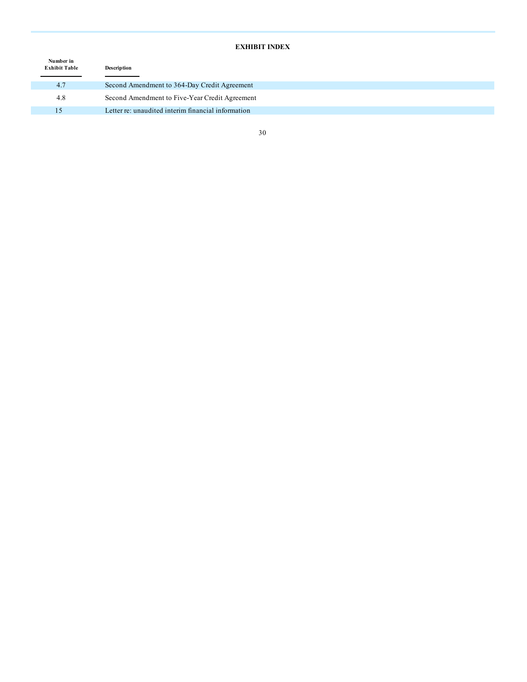# **EXHIBIT INDEX**

| Number in<br><b>Exhibit Table</b> | Description                                        |  |
|-----------------------------------|----------------------------------------------------|--|
| 4.7                               | Second Amendment to 364-Day Credit Agreement       |  |
| 4.8                               | Second Amendment to Five-Year Credit Agreement     |  |
| 15                                | Letter re: unaudited interim financial information |  |
|                                   |                                                    |  |